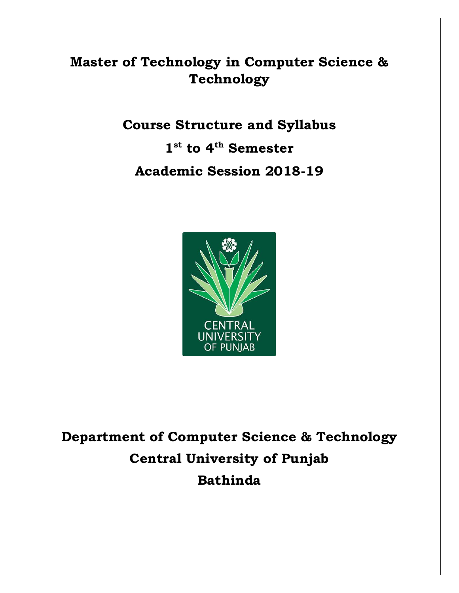# **Master of Technology in Computer Science & Technology**

**Course Structure and Syllabus** 

**1 st to 4th Semester Academic Session 2018-19**



**Department of Computer Science & Technology Central University of Punjab Bathinda**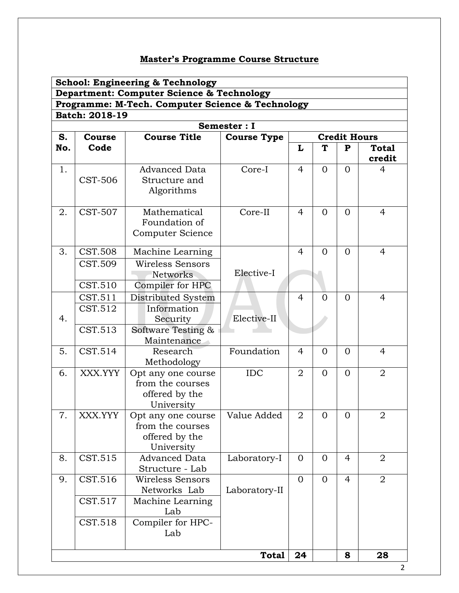# **Master's Programme Course Structure**

| Department: Computer Science & Technology<br>Programme: M-Tech. Computer Science & Technology<br><b>Batch: 2018-19</b><br>Semester : I<br><b>Course Title</b><br><b>Credit Hours</b><br>S.<br><b>Course</b><br><b>Course Type</b><br>Code<br>No.<br>T<br>L<br>${\bf P}$<br><b>Total</b><br>credit<br>1.<br><b>Advanced Data</b><br>Core-I<br>$\Omega$<br>$\Omega$<br>4<br>4<br><b>CST-506</b><br>Structure and<br>Algorithms<br>2.<br><b>CST-507</b><br>Mathematical<br>Core-II<br>$\Omega$<br>$\Omega$<br>$\overline{4}$<br>4<br>Foundation of<br>Computer Science<br><b>CST.508</b><br>3.<br>Machine Learning<br>$\overline{4}$<br>$\overline{4}$<br>$\Omega$<br>$\Omega$<br>CST.509<br>Wireless Sensors<br>Elective-I<br><b>Networks</b><br>CST.510<br>Compiler for HPC<br>Distributed System<br>CST.511<br>$\Omega$<br>$\Omega$<br>4<br>4<br>CST.512<br>Information<br>Elective-II<br>4.<br>Security<br>CST.513<br>Software Testing &<br>Maintenance<br>5.<br>CST.514<br>Foundation<br>Research<br>$\overline{0}$<br>$\Omega$<br>$\overline{4}$<br>4<br>Methodology<br><b>IDC</b><br>XXX.YYY<br>$\overline{2}$<br>$\overline{2}$<br>6.<br>$\Omega$<br>$\Omega$<br>Opt any one course<br>from the courses<br>offered by the<br>University<br>7.<br>XXX.YYY<br>Opt any one course<br>Value Added<br>$\overline{2}$<br>$\mathbf 2$<br>0<br>$\Omega$<br>from the courses<br>offered by the<br>University<br>CST.515<br>$\overline{2}$<br><b>Advanced Data</b><br>Laboratory-I<br>$\overline{0}$<br>$\overline{0}$<br>$\overline{4}$<br>8.<br>Structure - Lab<br>CST.516<br>9.<br>$\overline{O}$<br>$\overline{2}$<br><b>Wireless Sensors</b><br>$\overline{0}$<br>$\overline{4}$<br>Laboratory-II<br>Networks Lab<br>CST.517<br>Machine Learning<br>Lab<br>CST.518<br>Compiler for HPC-<br>Lab<br><b>Total</b><br>24<br>8<br>28 |  | <b>School: Engineering &amp; Technology</b> |  |  |  |  |  |
|---------------------------------------------------------------------------------------------------------------------------------------------------------------------------------------------------------------------------------------------------------------------------------------------------------------------------------------------------------------------------------------------------------------------------------------------------------------------------------------------------------------------------------------------------------------------------------------------------------------------------------------------------------------------------------------------------------------------------------------------------------------------------------------------------------------------------------------------------------------------------------------------------------------------------------------------------------------------------------------------------------------------------------------------------------------------------------------------------------------------------------------------------------------------------------------------------------------------------------------------------------------------------------------------------------------------------------------------------------------------------------------------------------------------------------------------------------------------------------------------------------------------------------------------------------------------------------------------------------------------------------------------------------------------------------------------------------------------------------------------------------------------------------------------------------------------------------|--|---------------------------------------------|--|--|--|--|--|
|                                                                                                                                                                                                                                                                                                                                                                                                                                                                                                                                                                                                                                                                                                                                                                                                                                                                                                                                                                                                                                                                                                                                                                                                                                                                                                                                                                                                                                                                                                                                                                                                                                                                                                                                                                                                                                 |  |                                             |  |  |  |  |  |
|                                                                                                                                                                                                                                                                                                                                                                                                                                                                                                                                                                                                                                                                                                                                                                                                                                                                                                                                                                                                                                                                                                                                                                                                                                                                                                                                                                                                                                                                                                                                                                                                                                                                                                                                                                                                                                 |  |                                             |  |  |  |  |  |
|                                                                                                                                                                                                                                                                                                                                                                                                                                                                                                                                                                                                                                                                                                                                                                                                                                                                                                                                                                                                                                                                                                                                                                                                                                                                                                                                                                                                                                                                                                                                                                                                                                                                                                                                                                                                                                 |  |                                             |  |  |  |  |  |
|                                                                                                                                                                                                                                                                                                                                                                                                                                                                                                                                                                                                                                                                                                                                                                                                                                                                                                                                                                                                                                                                                                                                                                                                                                                                                                                                                                                                                                                                                                                                                                                                                                                                                                                                                                                                                                 |  |                                             |  |  |  |  |  |
|                                                                                                                                                                                                                                                                                                                                                                                                                                                                                                                                                                                                                                                                                                                                                                                                                                                                                                                                                                                                                                                                                                                                                                                                                                                                                                                                                                                                                                                                                                                                                                                                                                                                                                                                                                                                                                 |  |                                             |  |  |  |  |  |
|                                                                                                                                                                                                                                                                                                                                                                                                                                                                                                                                                                                                                                                                                                                                                                                                                                                                                                                                                                                                                                                                                                                                                                                                                                                                                                                                                                                                                                                                                                                                                                                                                                                                                                                                                                                                                                 |  |                                             |  |  |  |  |  |
|                                                                                                                                                                                                                                                                                                                                                                                                                                                                                                                                                                                                                                                                                                                                                                                                                                                                                                                                                                                                                                                                                                                                                                                                                                                                                                                                                                                                                                                                                                                                                                                                                                                                                                                                                                                                                                 |  |                                             |  |  |  |  |  |
|                                                                                                                                                                                                                                                                                                                                                                                                                                                                                                                                                                                                                                                                                                                                                                                                                                                                                                                                                                                                                                                                                                                                                                                                                                                                                                                                                                                                                                                                                                                                                                                                                                                                                                                                                                                                                                 |  |                                             |  |  |  |  |  |
|                                                                                                                                                                                                                                                                                                                                                                                                                                                                                                                                                                                                                                                                                                                                                                                                                                                                                                                                                                                                                                                                                                                                                                                                                                                                                                                                                                                                                                                                                                                                                                                                                                                                                                                                                                                                                                 |  |                                             |  |  |  |  |  |
|                                                                                                                                                                                                                                                                                                                                                                                                                                                                                                                                                                                                                                                                                                                                                                                                                                                                                                                                                                                                                                                                                                                                                                                                                                                                                                                                                                                                                                                                                                                                                                                                                                                                                                                                                                                                                                 |  |                                             |  |  |  |  |  |
|                                                                                                                                                                                                                                                                                                                                                                                                                                                                                                                                                                                                                                                                                                                                                                                                                                                                                                                                                                                                                                                                                                                                                                                                                                                                                                                                                                                                                                                                                                                                                                                                                                                                                                                                                                                                                                 |  |                                             |  |  |  |  |  |
|                                                                                                                                                                                                                                                                                                                                                                                                                                                                                                                                                                                                                                                                                                                                                                                                                                                                                                                                                                                                                                                                                                                                                                                                                                                                                                                                                                                                                                                                                                                                                                                                                                                                                                                                                                                                                                 |  |                                             |  |  |  |  |  |
|                                                                                                                                                                                                                                                                                                                                                                                                                                                                                                                                                                                                                                                                                                                                                                                                                                                                                                                                                                                                                                                                                                                                                                                                                                                                                                                                                                                                                                                                                                                                                                                                                                                                                                                                                                                                                                 |  |                                             |  |  |  |  |  |
|                                                                                                                                                                                                                                                                                                                                                                                                                                                                                                                                                                                                                                                                                                                                                                                                                                                                                                                                                                                                                                                                                                                                                                                                                                                                                                                                                                                                                                                                                                                                                                                                                                                                                                                                                                                                                                 |  |                                             |  |  |  |  |  |
|                                                                                                                                                                                                                                                                                                                                                                                                                                                                                                                                                                                                                                                                                                                                                                                                                                                                                                                                                                                                                                                                                                                                                                                                                                                                                                                                                                                                                                                                                                                                                                                                                                                                                                                                                                                                                                 |  |                                             |  |  |  |  |  |
|                                                                                                                                                                                                                                                                                                                                                                                                                                                                                                                                                                                                                                                                                                                                                                                                                                                                                                                                                                                                                                                                                                                                                                                                                                                                                                                                                                                                                                                                                                                                                                                                                                                                                                                                                                                                                                 |  |                                             |  |  |  |  |  |
|                                                                                                                                                                                                                                                                                                                                                                                                                                                                                                                                                                                                                                                                                                                                                                                                                                                                                                                                                                                                                                                                                                                                                                                                                                                                                                                                                                                                                                                                                                                                                                                                                                                                                                                                                                                                                                 |  |                                             |  |  |  |  |  |
|                                                                                                                                                                                                                                                                                                                                                                                                                                                                                                                                                                                                                                                                                                                                                                                                                                                                                                                                                                                                                                                                                                                                                                                                                                                                                                                                                                                                                                                                                                                                                                                                                                                                                                                                                                                                                                 |  |                                             |  |  |  |  |  |
|                                                                                                                                                                                                                                                                                                                                                                                                                                                                                                                                                                                                                                                                                                                                                                                                                                                                                                                                                                                                                                                                                                                                                                                                                                                                                                                                                                                                                                                                                                                                                                                                                                                                                                                                                                                                                                 |  |                                             |  |  |  |  |  |
|                                                                                                                                                                                                                                                                                                                                                                                                                                                                                                                                                                                                                                                                                                                                                                                                                                                                                                                                                                                                                                                                                                                                                                                                                                                                                                                                                                                                                                                                                                                                                                                                                                                                                                                                                                                                                                 |  |                                             |  |  |  |  |  |
|                                                                                                                                                                                                                                                                                                                                                                                                                                                                                                                                                                                                                                                                                                                                                                                                                                                                                                                                                                                                                                                                                                                                                                                                                                                                                                                                                                                                                                                                                                                                                                                                                                                                                                                                                                                                                                 |  |                                             |  |  |  |  |  |
|                                                                                                                                                                                                                                                                                                                                                                                                                                                                                                                                                                                                                                                                                                                                                                                                                                                                                                                                                                                                                                                                                                                                                                                                                                                                                                                                                                                                                                                                                                                                                                                                                                                                                                                                                                                                                                 |  |                                             |  |  |  |  |  |

2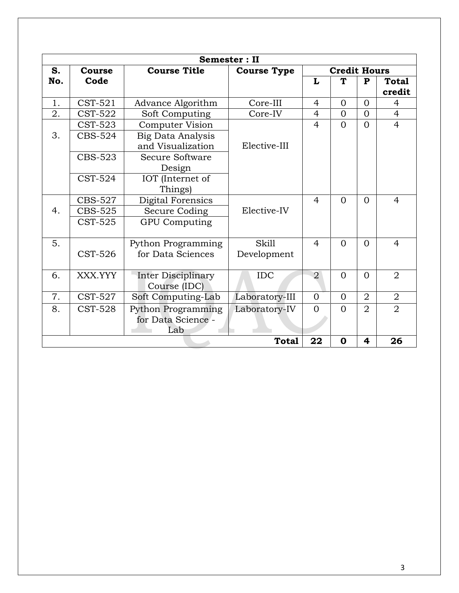|                                              | Semester : II  |                           |                    |                |                     |                |                |
|----------------------------------------------|----------------|---------------------------|--------------------|----------------|---------------------|----------------|----------------|
| S.                                           | <b>Course</b>  | <b>Course Title</b>       | <b>Course Type</b> |                | <b>Credit Hours</b> |                |                |
| No.                                          | Code           |                           |                    | L              | T                   | ${\bf P}$      | <b>Total</b>   |
|                                              |                |                           |                    |                |                     |                | credit         |
| 1.                                           | $CST-521$      | Advance Algorithm         | Core-III           | $\overline{4}$ | $\Omega$            | $\Omega$       | 4              |
| 2.                                           | <b>CST-522</b> | Soft Computing            | Core-IV            | $\overline{4}$ | $\Omega$            | $\Omega$       | $\overline{4}$ |
|                                              | <b>CST-523</b> | <b>Computer Vision</b>    |                    | $\overline{4}$ | $\Omega$            | $\Omega$       | $\overline{4}$ |
| 3.                                           | CBS-524        | <b>Big Data Analysis</b>  |                    |                |                     |                |                |
|                                              |                | and Visualization         | Elective-III       |                |                     |                |                |
|                                              | <b>CBS-523</b> | Secure Software           |                    |                |                     |                |                |
|                                              |                | Design                    |                    |                |                     |                |                |
|                                              | <b>CST-524</b> | IOT (Internet of          |                    |                |                     |                |                |
|                                              |                | Things)                   |                    |                |                     |                |                |
|                                              | CBS-527        | <b>Digital Forensics</b>  |                    | $\overline{4}$ | $\Omega$            | $\Omega$       | $\overline{4}$ |
| 4.                                           | CBS-525        | Secure Coding             | Elective-IV        |                |                     |                |                |
|                                              | <b>CST-525</b> | <b>GPU Computing</b>      |                    |                |                     |                |                |
|                                              |                |                           |                    |                |                     |                |                |
| 5.                                           |                | Python Programming        | <b>Skill</b>       | $\overline{4}$ | $\Omega$            | $\Omega$       | $\overline{4}$ |
|                                              | CST-526        | for Data Sciences         | Development        |                |                     |                |                |
|                                              |                |                           |                    |                |                     |                |                |
| 6.                                           | XXX.YYY        | <b>Inter Disciplinary</b> | <b>IDC</b>         | $\overline{2}$ | $\Omega$            | $\Omega$       | $\overline{2}$ |
|                                              |                | Course (IDC)              |                    |                |                     |                |                |
| 7.                                           | <b>CST-527</b> | Soft Computing-Lab        | Laboratory-III     | $\Omega$       | $\Omega$            | $\overline{2}$ | $\overline{2}$ |
| 8.                                           | <b>CST-528</b> | <b>Python Programming</b> | Laboratory-IV      | $\overline{0}$ | $\Omega$            | $\overline{2}$ | $\overline{2}$ |
|                                              |                | for Data Science -        |                    |                |                     |                |                |
|                                              |                | Lab                       |                    |                |                     |                |                |
| 22<br>26<br><b>Total</b><br>$\mathbf 0$<br>4 |                |                           |                    |                |                     |                |                |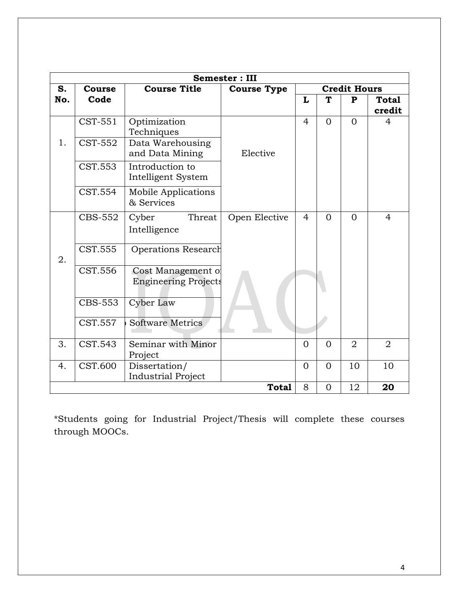|     | Semester : III                                  |                                                   |                    |                     |                |                |                |
|-----|-------------------------------------------------|---------------------------------------------------|--------------------|---------------------|----------------|----------------|----------------|
| S.  | <b>Course</b>                                   | <b>Course Title</b>                               | <b>Course Type</b> | <b>Credit Hours</b> |                |                |                |
| No. | Code                                            |                                                   |                    | L                   | T              | ${\bf P}$      | <b>Total</b>   |
|     |                                                 |                                                   |                    |                     |                |                | credit         |
|     | CST-551                                         | Optimization<br>Techniques                        |                    | $\overline{4}$      | $\Omega$       | $\Omega$       | $\overline{4}$ |
| 1.  | CST-552                                         | Data Warehousing<br>and Data Mining               | Elective           |                     |                |                |                |
|     | CST.553                                         | Introduction to<br>Intelligent System             |                    |                     |                |                |                |
|     | CST.554                                         | Mobile Applications<br>& Services                 |                    |                     |                |                |                |
|     | CBS-552                                         | Threat<br>Cyber<br>Intelligence                   | Open Elective      | $\overline{4}$      | $\Omega$       | $\Omega$       | $\overline{4}$ |
| 2.  | CST.555                                         | <b>Operations Research</b>                        |                    |                     |                |                |                |
|     | CST.556                                         | Cost Management of<br><b>Engineering Projects</b> |                    |                     |                |                |                |
|     | <b>CBS-553</b>                                  | Cyber Law                                         |                    |                     |                |                |                |
|     | CST.557                                         | <b>Software Metrics</b>                           |                    |                     |                |                |                |
| 3.  | CST.543                                         | Seminar with Minor<br>Project                     |                    | $\overline{0}$      | $\overline{0}$ | $\overline{2}$ | $\overline{2}$ |
| 4.  | CST.600                                         | Dissertation/<br><b>Industrial Project</b>        |                    | $\overline{0}$      | $\overline{0}$ | 10             | 10             |
|     | 8<br>$\overline{0}$<br>12<br>20<br><b>Total</b> |                                                   |                    |                     |                |                |                |

\*Students going for Industrial Project/Thesis will complete these courses through MOOCs.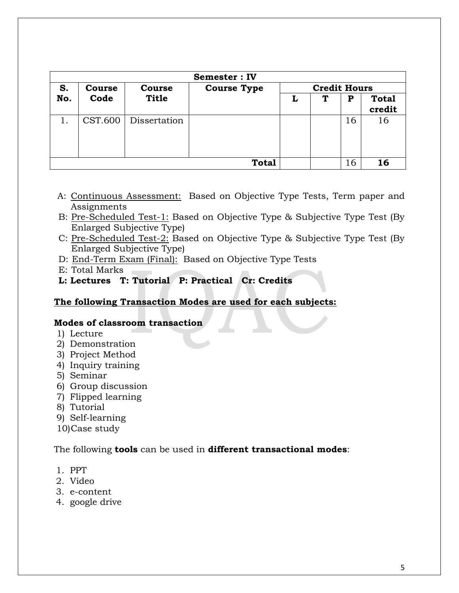|     | Semester: IV             |              |                    |  |                     |    |              |
|-----|--------------------------|--------------|--------------------|--|---------------------|----|--------------|
| S.  | <b>Course</b>            | Course       | <b>Course Type</b> |  | <b>Credit Hours</b> |    |              |
| No. | Code                     | <b>Title</b> |                    |  | Т                   | Р  | <b>Total</b> |
|     |                          |              |                    |  |                     |    | credit       |
|     | CST.600                  | Dissertation |                    |  |                     | 16 | 16           |
|     |                          |              |                    |  |                     |    |              |
|     |                          |              |                    |  |                     |    |              |
|     |                          |              |                    |  |                     |    |              |
|     | <b>Total</b><br>16<br>16 |              |                    |  |                     |    |              |

- A: Continuous Assessment: Based on Objective Type Tests, Term paper and Assignments
- B: Pre-Scheduled Test-1: Based on Objective Type & Subjective Type Test (By Enlarged Subjective Type)
- C: Pre-Scheduled Test-2: Based on Objective Type & Subjective Type Test (By Enlarged Subjective Type)
- D: End-Term Exam (Final): Based on Objective Type Tests
- E: Total Marks
- **L: Lectures T: Tutorial P: Practical Cr: Credits**

### **The following Transaction Modes are used for each subjects:**

### **Modes of classroom transaction**

- 1) Lecture
- 2) Demonstration
- 3) Project Method
- 4) Inquiry training
- 5) Seminar
- 6) Group discussion
- 7) Flipped learning
- 8) Tutorial
- 9) Self-learning
- 10)Case study

The following **tools** can be used in **different transactional modes**:

- 1. PPT
- 2. Video
- 3. e-content
- 4. google drive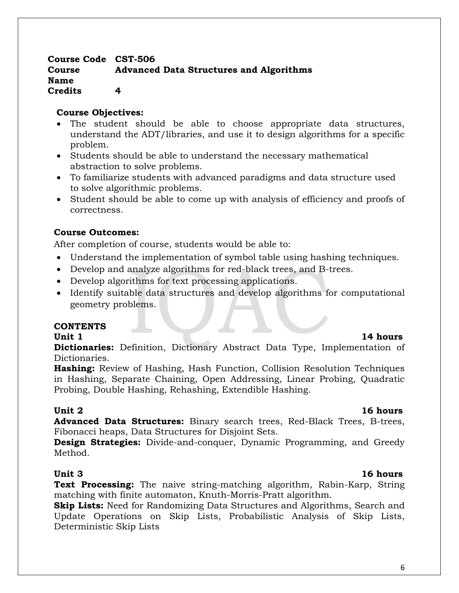### **Course Code CST-506 Course Name Advanced Data Structures and Algorithms Credits 4**

### **Course Objectives:**

- The student should be able to choose appropriate data structures, understand the ADT/libraries, and use it to design algorithms for a specific problem.
- Students should be able to understand the necessary mathematical abstraction to solve problems.
- To familiarize students with advanced paradigms and data structure used to solve algorithmic problems.
- Student should be able to come up with analysis of efficiency and proofs of correctness.

### **Course Outcomes:**

After completion of course, students would be able to:

- Understand the implementation of symbol table using hashing techniques.
- Develop and analyze algorithms for red-black trees, and B-trees.
- Develop algorithms for text processing applications.
- Identify suitable data structures and develop algorithms for computational geometry problems.

### **CONTENTS**

**Dictionaries:** Definition, Dictionary Abstract Data Type, Implementation of Dictionaries.

**Hashing:** Review of Hashing, Hash Function, Collision Resolution Techniques in Hashing, Separate Chaining, Open Addressing, Linear Probing, Quadratic Probing, Double Hashing, Rehashing, Extendible Hashing.

### **Unit 2** 16 hours

**Advanced Data Structures:** Binary search trees, Red-Black Trees, B-trees, Fibonacci heaps, Data Structures for Disjoint Sets.

**Design Strategies:** Divide-and-conquer, Dynamic Programming, and Greedy Method.

### **Unit 3 16 hours**

**Text Processing:** The naive string-matching algorithm, Rabin-Karp, String matching with finite automaton, Knuth-Morris-Pratt algorithm.

**Skip Lists:** Need for Randomizing Data Structures and Algorithms, Search and Update Operations on Skip Lists, Probabilistic Analysis of Skip Lists, Deterministic Skip Lists

# Unit 1 14 hours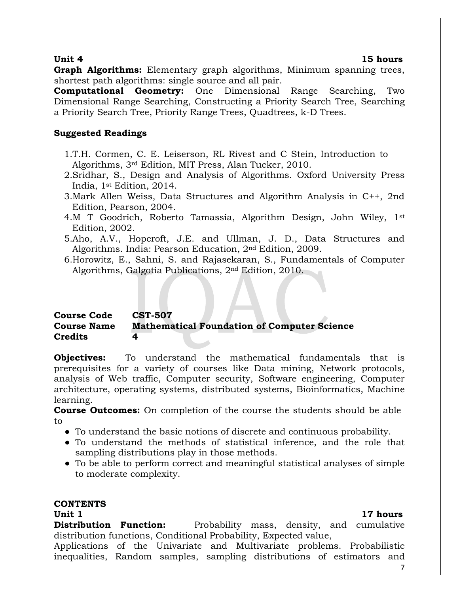### **Unit 4** 15 hours

**Graph Algorithms:** Elementary graph algorithms, Minimum spanning trees, shortest path algorithms: single source and all pair.

**Computational Geometry:** One Dimensional Range Searching, Two Dimensional Range Searching, Constructing a Priority Search Tree, Searching a Priority Search Tree, Priority Range Trees, Quadtrees, k-D Trees.

### **Suggested Readings**

- 1.T.H. Cormen, C. E. Leiserson, RL Rivest and C Stein, Introduction to Algorithms, 3rd Edition, MIT Press, Alan Tucker, 2010.
- 2.Sridhar, S., Design and Analysis of Algorithms. Oxford University Press India, 1st Edition, 2014.
- 3.Mark Allen Weiss, Data Structures and Algorithm Analysis in C++, 2nd Edition, Pearson, 2004.
- 4.M T Goodrich, Roberto Tamassia, Algorithm Design, John Wiley, 1st Edition, 2002.
- 5.Aho, A.V., Hopcroft, J.E. and Ullman, J. D., Data Structures and Algorithms. India: Pearson Education, 2nd Edition, 2009.
- 6.Horowitz, E., Sahni, S. and Rajasekaran, S., Fundamentals of Computer Algorithms, Galgotia Publications, 2nd Edition, 2010.

### **Course Code CST-507 Course Name Mathematical Foundation of Computer Science Credits 4**

**Objectives:** To understand the mathematical fundamentals that is prerequisites for a variety of courses like Data mining, Network protocols, analysis of Web traffic, Computer security, Software engineering, Computer architecture, operating systems, distributed systems, Bioinformatics, Machine learning.

**Course Outcomes:** On completion of the course the students should be able to

- To understand the basic notions of discrete and continuous probability.
- To understand the methods of statistical inference, and the role that sampling distributions play in those methods.
- To be able to perform correct and meaningful statistical analyses of simple to moderate complexity.

### **CONTENTS**

### **Unit 1** 17 hours

**Distribution Function:** Probability mass, density, and cumulative distribution functions, Conditional Probability, Expected value,

Applications of the Univariate and Multivariate problems. Probabilistic inequalities, Random samples, sampling distributions of estimators and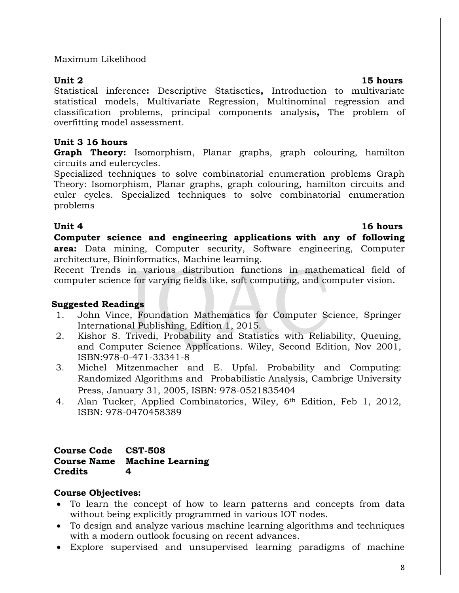### Maximum Likelihood

Statistical inference**:** Descriptive Statisctics**,** Introduction to multivariate statistical models, Multivariate Regression, Multinominal regression and classification problems, principal components analysis**,** The problem of overfitting model assessment.

### **Unit 3 16 hours**

**Graph Theory:** Isomorphism, Planar graphs, graph colouring, hamilton circuits and eulercycles.

Specialized techniques to solve combinatorial enumeration problems Graph Theory: Isomorphism, Planar graphs, graph colouring, hamilton circuits and euler cycles. Specialized techniques to solve combinatorial enumeration problems

### Unit 4 16 hours

**Computer science and engineering applications with any of following area:** Data mining, Computer security, Software engineering, Computer architecture, Bioinformatics, Machine learning.

Recent Trends in various distribution functions in mathematical field of computer science for varying fields like, soft computing, and computer vision.

### **Suggested Readings**

- 1. John Vince, Foundation Mathematics for Computer Science, Springer International Publishing, Edition 1, 2015.
- 2. Kishor S. Trivedi, Probability and Statistics with Reliability, Queuing, and Computer Science Applications. Wiley, Second Edition, Nov 2001, ISBN:978-0-471-33341-8
- 3. Michel Mitzenmacher and E. Upfal. Probability and Computing: Randomized Algorithms and Probabilistic Analysis, Cambrige University Press, January 31, 2005, ISBN: 978-0521835404
- 4. Alan Tucker, Applied Combinatorics, Wiley, 6th Edition, Feb 1, 2012, ISBN: 978-0470458389

### **Course Code CST-508 Course Name Machine Learning Credits 4**

### **Course Objectives:**

- To learn the concept of how to learn patterns and concepts from data without being explicitly programmed in various IOT nodes.
- To design and analyze various machine learning algorithms and techniques with a modern outlook focusing on recent advances.
- Explore supervised and unsupervised learning paradigms of machine

### **Unit 2 15 hours**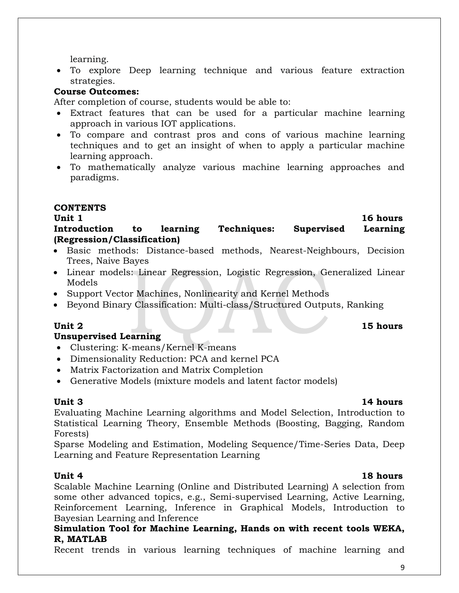learning.

 To explore Deep learning technique and various feature extraction strategies.

### **Course Outcomes:**

After completion of course, students would be able to:

- Extract features that can be used for a particular machine learning approach in various IOT applications.
- To compare and contrast pros and cons of various machine learning techniques and to get an insight of when to apply a particular machine learning approach.
- To mathematically analyze various machine learning approaches and paradigms.

# **CONTENTS**

### **Unit 1** 16 hours **Introduction to learning Techniques: Supervised Learning (Regression/Classification)**

- Basic methods: Distance-based methods, Nearest-Neighbours, Decision Trees, Naive Bayes
- Linear models: Linear Regression, Logistic Regression, Generalized Linear Models
- Support Vector Machines, Nonlinearity and Kernel Methods
- Beyond Binary Classification: Multi-class/Structured Outputs, Ranking

# Unit 2 15 hours

### **Unsupervised Learning**

- Clustering: K-means/Kernel K-means
- Dimensionality Reduction: PCA and kernel PCA
- Matrix Factorization and Matrix Completion
- Generative Models (mixture models and latent factor models)

# **Unit 3 14 hours**

Evaluating Machine Learning algorithms and Model Selection, Introduction to Statistical Learning Theory, Ensemble Methods (Boosting, Bagging, Random Forests)

Sparse Modeling and Estimation, Modeling Sequence/Time-Series Data, Deep Learning and Feature Representation Learning

**Unit 4** 18 hours Scalable Machine Learning (Online and Distributed Learning) A selection from some other advanced topics, e.g., Semi-supervised Learning, Active Learning, Reinforcement Learning, Inference in Graphical Models, Introduction to Bayesian Learning and Inference

### **Simulation Tool for Machine Learning, Hands on with recent tools WEKA, R, MATLAB**

Recent trends in various learning techniques of machine learning and

# 9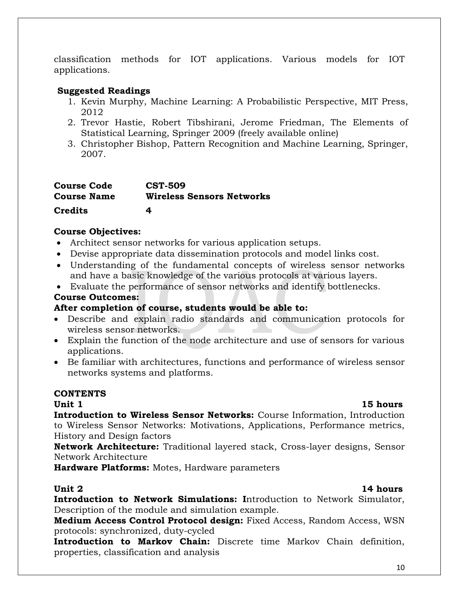classification methods for IOT applications. Various models for IOT applications.

### **Suggested Readings**

- 1. Kevin Murphy, Machine Learning: A Probabilistic Perspective, MIT Press, 2012
- 2. Trevor Hastie, Robert Tibshirani, Jerome Friedman, The Elements of Statistical Learning, Springer 2009 (freely available online)
- 3. Christopher Bishop, Pattern Recognition and Machine Learning, Springer, 2007.

| <b>Course Code</b> | <b>CST-509</b>                   |
|--------------------|----------------------------------|
| <b>Course Name</b> | <b>Wireless Sensors Networks</b> |
| <b>Credits</b>     | 4                                |

### **Course Objectives:**

- Architect sensor networks for various application setups.
- Devise appropriate data dissemination protocols and model links cost.
- Understanding of the fundamental concepts of wireless sensor networks and have a basic knowledge of the various protocols at various layers.
- Evaluate the performance of sensor networks and identify bottlenecks.

### **Course Outcomes:**

### **After completion of course, students would be able to:**

- Describe and explain radio standards and communication protocols for wireless sensor networks.
- Explain the function of the node architecture and use of sensors for various applications.
- Be familiar with architectures, functions and performance of wireless sensor networks systems and platforms.

### **CONTENTS**

**Introduction to Wireless Sensor Networks:** Course Information, Introduction to Wireless Sensor Networks: Motivations, Applications, Performance metrics, History and Design factors

**Network Architecture:** Traditional layered stack, Cross-layer designs, Sensor Network Architecture

**Hardware Platforms:** Motes, Hardware parameters

### **Unit 2** 14 hours

**Introduction to Network Simulations: I**ntroduction to Network Simulator, Description of the module and simulation example.

**Medium Access Control Protocol design:** Fixed Access, Random Access, WSN protocols: synchronized, duty-cycled

**Introduction to Markov Chain:** Discrete time Markov Chain definition, properties, classification and analysis

### 10

### **Unit 1** 15 hours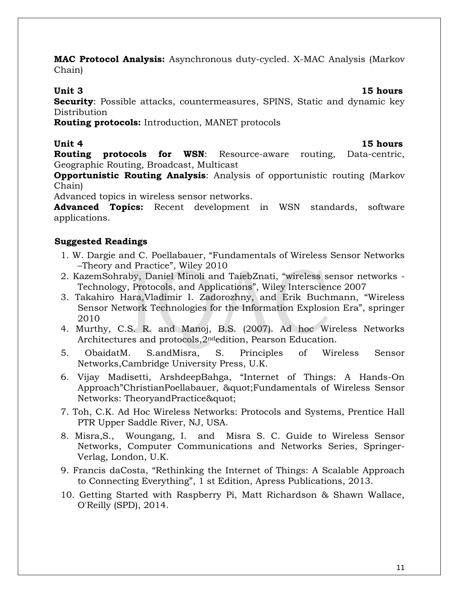**MAC Protocol Analysis:** Asynchronous duty-cycled. X-MAC Analysis (Markov Chain)

### **Unit 3 15 hours**

**Security:** Possible attacks, countermeasures, SPINS, Static and dynamic key Distribution

**Routing protocols:** Introduction, MANET protocols

### **Unit 4** 15 hours

**Routing protocols for WSN:** Resource-aware routing, Data-centric, Geographic Routing, Broadcast, Multicast

**Opportunistic Routing Analysis**: Analysis of opportunistic routing (Markov Chain)

Advanced topics in wireless sensor networks.

**Advanced Topics:** Recent development in WSN standards, software applications.

### **Suggested Readings**

- 1. W. Dargie and C. Poellabauer, "Fundamentals of Wireless Sensor Networks –Theory and Practice", Wiley 2010
- 2. KazemSohraby, Daniel Minoli and TaiebZnati, "wireless sensor networks Technology, Protocols, and Applications", Wiley Interscience 2007
- 3. Takahiro Hara,Vladimir I. Zadorozhny, and Erik Buchmann, "Wireless Sensor Network Technologies for the Information Explosion Era", springer 2010
- 4. Murthy, C.S. R. and Manoj, B.S. (2007). Ad hoc Wireless Networks Architectures and protocols,2ndedition, Pearson Education.
- 5. ObaidatM. S.andMisra, S. Principles of Wireless Sensor Networks,Cambridge University Press, U.K.
- 6. Vijay Madisetti, ArshdeepBahga, "Internet of Things: A Hands-On Approach"ChristianPoellabauer, & quot; Fundamentals of Wireless Sensor Networks: TheoryandPractice"
- 7. Toh, C.K. Ad Hoc Wireless Networks: Protocols and Systems, Prentice Hall PTR Upper Saddle River, NJ, USA.
- 8. Misra,S., Woungang, I. and Misra S. C. Guide to Wireless Sensor Networks, Computer Communications and Networks Series, Springer-Verlag, London, U.K.
- 9. Francis daCosta, "Rethinking the Internet of Things: A Scalable Approach to Connecting Everything", 1 st Edition, Apress Publications, 2013.
- 10. Getting Started with Raspberry Pi, Matt Richardson & Shawn Wallace, O'Reilly (SPD), 2014.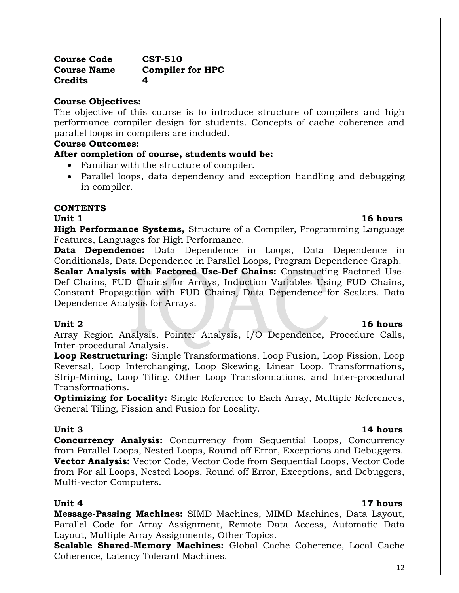**Unit 4 17 hours Message-Passing Machines:** SIMD Machines, MIMD Machines, Data Layout, Parallel Code for Array Assignment, Remote Data Access, Automatic Data Layout, Multiple Array Assignments, Other Topics.

**Scalable Shared-Memory Machines:** Global Cache Coherence, Local Cache Coherence, Latency Tolerant Machines.

### **Course Objectives:**

**Credits 4**

**Course Code CST-510**

**Course Name Compiler for HPC**

The objective of this course is to introduce structure of compilers and high performance compiler design for students. Concepts of cache coherence and parallel loops in compilers are included.

### **Course Outcomes:**

### **After completion of course, students would be:**

- Familiar with the structure of compiler.
- Parallel loops, data dependency and exception handling and debugging in compiler.

### **CONTENTS**

**High Performance Systems,** Structure of a Compiler, Programming Language Features, Languages for High Performance.

**Data Dependence:** Data Dependence in Loops, Data Dependence in Conditionals, Data Dependence in Parallel Loops, Program Dependence Graph.

**Scalar Analysis with Factored Use-Def Chains:** Constructing Factored Use-Def Chains, FUD Chains for Arrays, Induction Variables Using FUD Chains, Constant Propagation with FUD Chains, Data Dependence for Scalars. Data Dependence Analysis for Arrays.

**Unit 2** 16 hours Array Region Analysis, Pointer Analysis, I/O Dependence, Procedure Calls, Inter-procedural Analysis.

**Loop Restructuring:** Simple Transformations, Loop Fusion, Loop Fission, Loop Reversal, Loop Interchanging, Loop Skewing, Linear Loop. Transformations, Strip-Mining, Loop Tiling, Other Loop Transformations, and Inter-procedural Transformations.

**Optimizing for Locality:** Single Reference to Each Array, Multiple References, General Tiling, Fission and Fusion for Locality.

**Unit 3 14 hours Concurrency Analysis:** Concurrency from Sequential Loops, Concurrency from Parallel Loops, Nested Loops, Round off Error, Exceptions and Debuggers. **Vector Analysis:** Vector Code, Vector Code from Sequential Loops, Vector Code from For all Loops, Nested Loops, Round off Error, Exceptions, and Debuggers, Multi-vector Computers.

# **Unit 1** 16 hours

### 12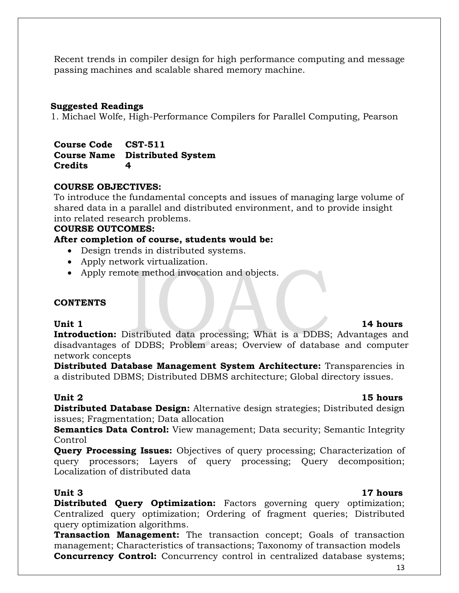Recent trends in compiler design for high performance computing and message passing machines and scalable shared memory machine.

### **Suggested Readings**

1. Michael Wolfe, High-Performance Compilers for Parallel Computing, Pearson

**Course Code CST-511 Course Name Distributed System Credits 4**

### **COURSE OBJECTIVES:**

To introduce the fundamental concepts and issues of managing large volume of shared data in a parallel and distributed environment, and to provide insight into related research problems.

### **COURSE OUTCOMES:**

### **After completion of course, students would be:**

- Design trends in distributed systems.
- Apply network virtualization.
- Apply remote method invocation and objects.

### **CONTENTS**

### Unit 1 14 hours

**Introduction:** Distributed data processing; What is a DDBS; Advantages and disadvantages of DDBS; Problem areas; Overview of database and computer network concepts

**Distributed Database Management System Architecture:** Transparencies in a distributed DBMS; Distributed DBMS architecture; Global directory issues.

### **Unit 2 15 hours**

**Distributed Database Design:** Alternative design strategies; Distributed design issues; Fragmentation; Data allocation

**Semantics Data Control:** View management; Data security; Semantic Integrity Control

**Query Processing Issues:** Objectives of query processing; Characterization of query processors; Layers of query processing; Query decomposition; Localization of distributed data

### **Unit 3 17 hours**

**Distributed Query Optimization:** Factors governing query optimization; Centralized query optimization; Ordering of fragment queries; Distributed query optimization algorithms.

**Transaction Management:** The transaction concept; Goals of transaction management; Characteristics of transactions; Taxonomy of transaction models **Concurrency Control:** Concurrency control in centralized database systems;

13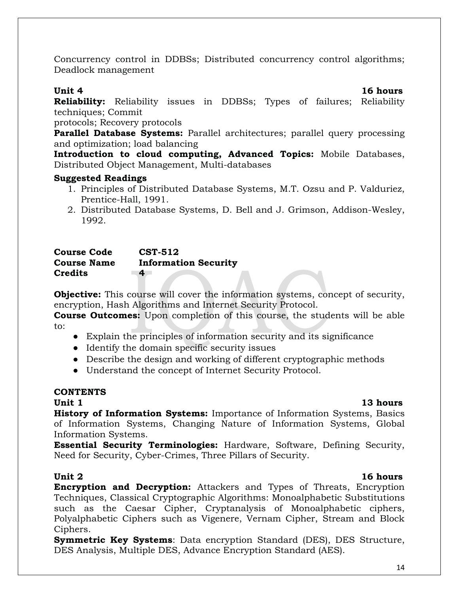Concurrency control in DDBSs; Distributed concurrency control algorithms; Deadlock management

**Unit 4** 16 hours

**Reliability:** Reliability issues in DDBSs; Types of failures; Reliability techniques; Commit

protocols; Recovery protocols

**Parallel Database Systems:** Parallel architectures; parallel query processing and optimization; load balancing

**Introduction to cloud computing, Advanced Topics:** Mobile Databases, Distributed Object Management, Multi-databases

### **Suggested Readings**

- 1. Principles of Distributed Database Systems, M.T. Ozsu and P. Valduriez, Prentice-Hall, 1991.
- 2. Distributed Database Systems, D. Bell and J. Grimson, Addison-Wesley, 1992.

### **Course Code CST-512 Course Name Information Security Credits 4**

**Objective:** This course will cover the information systems, concept of security, encryption, Hash Algorithms and Internet Security Protocol.

**Course Outcomes:** Upon completion of this course, the students will be able to:

- Explain the principles of information security and its significance
- Identify the domain specific security issues
- Describe the design and working of different cryptographic methods
- Understand the concept of Internet Security Protocol.

### **CONTENTS**

### **Unit 1** 13 hours

**History of Information Systems:** Importance of Information Systems, Basics of Information Systems, Changing Nature of Information Systems, Global Information Systems.

**Essential Security Terminologies:** Hardware, Software, Defining Security, Need for Security, Cyber-Crimes, Three Pillars of Security.

### **Unit 2** 16 hours

**Encryption and Decryption:** Attackers and Types of Threats, Encryption Techniques, Classical Cryptographic Algorithms: Monoalphabetic Substitutions such as the Caesar Cipher, Cryptanalysis of Monoalphabetic ciphers, Polyalphabetic Ciphers such as Vigenere, Vernam Cipher, Stream and Block Ciphers.

**Symmetric Key Systems**: Data encryption Standard (DES), DES Structure, DES Analysis, Multiple DES, Advance Encryption Standard (AES).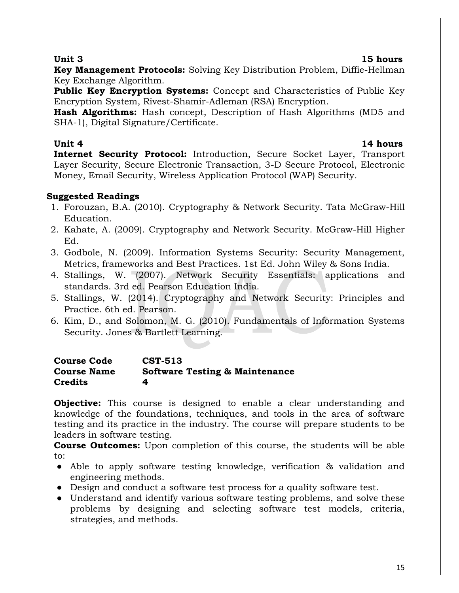### **Unit 3 15 hours**

**Key Management Protocols:** Solving Key Distribution Problem, Diffie-Hellman Key Exchange Algorithm.

**Public Key Encryption Systems:** Concept and Characteristics of Public Key Encryption System, Rivest-Shamir-Adleman (RSA) Encryption.

**Hash Algorithms:** Hash concept, Description of Hash Algorithms (MD5 and SHA-1), Digital Signature/Certificate.

### **Unit 4** 14 hours

**Internet Security Protocol:** Introduction, Secure Socket Layer, Transport Layer Security, Secure Electronic Transaction, 3-D Secure Protocol, Electronic Money, Email Security, Wireless Application Protocol (WAP) Security.

### **Suggested Readings**

- 1. Forouzan, B.A. (2010). Cryptography & Network Security. Tata McGraw-Hill Education.
- 2. Kahate, A. (2009). Cryptography and Network Security. McGraw-Hill Higher Ed.
- 3. Godbole, N. (2009). Information Systems Security: Security Management, Metrics, frameworks and Best Practices. 1st Ed. John Wiley & Sons India.
- 4. Stallings, W. (2007). Network Security Essentials: applications and standards. 3rd ed. Pearson Education India.
- 5. Stallings, W. (2014). Cryptography and Network Security: Principles and Practice. 6th ed. Pearson.
- 6. Kim, D., and Solomon, M. G. (2010). Fundamentals of Information Systems Security. Jones & Bartlett Learning.

### **Course Code CST-513 Course Name Software Testing & Maintenance Credits 4**

**Objective:** This course is designed to enable a clear understanding and knowledge of the foundations, techniques, and tools in the area of software testing and its practice in the industry. The course will prepare students to be leaders in software testing.

**Course Outcomes:** Upon completion of this course, the students will be able to:

- Able to apply software testing knowledge, verification & validation and engineering methods.
- Design and conduct a software test process for a quality software test.
- Understand and identify various software testing problems, and solve these problems by designing and selecting software test models, criteria, strategies, and methods.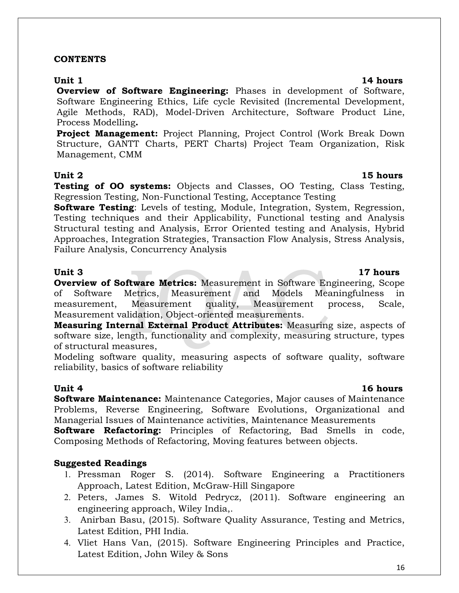### **CONTENTS**

**Overview of Software Engineering:** Phases in development of Software, Software Engineering Ethics, Life cycle Revisited (Incremental Development, Agile Methods, RAD), Model-Driven Architecture, Software Product Line, Process Modelling**.**

**Project Management:** Project Planning, Project Control (Work Break Down Structure, GANTT Charts, PERT Charts) Project Team Organization, Risk Management, CMM

### **Unit 2 15 hours**

**Testing of OO systems:** Objects and Classes, OO Testing, Class Testing, Regression Testing, Non-Functional Testing, Acceptance Testing

**Software Testing**: Levels of testing, Module, Integration, System, Regression, Testing techniques and their Applicability, Functional testing and Analysis Structural testing and Analysis, Error Oriented testing and Analysis, Hybrid Approaches, Integration Strategies, Transaction Flow Analysis, Stress Analysis, Failure Analysis, Concurrency Analysis

**Overview of Software Metrics:** Measurement in Software Engineering, Scope of Software Metrics, Measurement and Models Meaningfulness in measurement, Measurement quality, Measurement process, Scale, Measurement validation, Object-oriented measurements.

**Measuring Internal External Product Attributes:** Measuring size, aspects of software size, length, functionality and complexity, measuring structure, types of structural measures,

Modeling software quality, measuring aspects of software quality, software reliability, basics of software reliability

### **Unit 4** 16 hours

**Software Maintenance:** Maintenance Categories, Major causes of Maintenance Problems, Reverse Engineering, Software Evolutions, Organizational and Managerial Issues of Maintenance activities, Maintenance Measurements

**Software Refactoring:** Principles of Refactoring, Bad Smells in code, Composing Methods of Refactoring, Moving features between objects.

### **Suggested Readings**

- 1. Pressman Roger S. (2014). Software Engineering a Practitioners Approach, Latest Edition, McGraw-Hill Singapore
- 2. Peters, James S. Witold Pedrycz, (2011). Software engineering an engineering approach, Wiley India,.
- 3. Anirban Basu, (2015). Software Quality Assurance, Testing and Metrics, Latest Edition, PHI India.
- 4. Vliet Hans Van, (2015). Software Engineering Principles and Practice, Latest Edition, John Wiley & Sons

### **Unit 1** 14 hours

# Unit 3 17 hours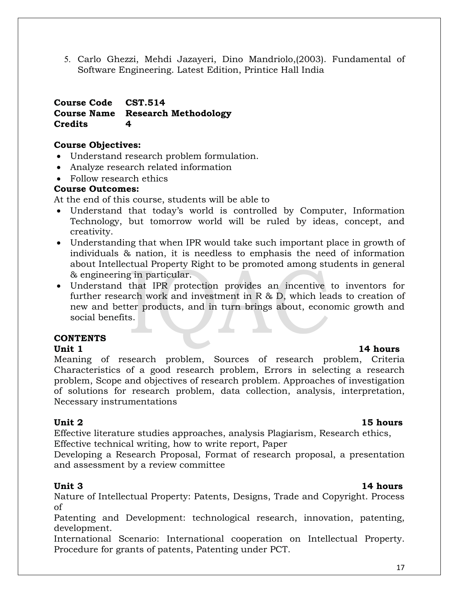5. Carlo Ghezzi, Mehdi Jazayeri, Dino Mandriolo,(2003). Fundamental of Software Engineering. Latest Edition, Printice Hall India

### **Course Code CST.514 Course Name Research Methodology Credits 4**

### **Course Objectives:**

- Understand research problem formulation.
- Analyze research related information
- Follow research ethics

### **Course Outcomes:**

At the end of this course, students will be able to

- Understand that today's world is controlled by Computer, Information Technology, but tomorrow world will be ruled by ideas, concept, and creativity.
- Understanding that when IPR would take such important place in growth of individuals & nation, it is needless to emphasis the need of information about Intellectual Property Right to be promoted among students in general & engineering in particular.
- Understand that IPR protection provides an incentive to inventors for further research work and investment in R & D, which leads to creation of new and better products, and in turn brings about, economic growth and social benefits.

### **CONTENTS**

Meaning of research problem, Sources of research problem, Criteria Characteristics of a good research problem, Errors in selecting a research problem, Scope and objectives of research problem. Approaches of investigation of solutions for research problem, data collection, analysis, interpretation, Necessary instrumentations

### **Unit 2 15 hours**

Effective literature studies approaches, analysis Plagiarism, Research ethics, Effective technical writing, how to write report, Paper

Developing a Research Proposal, Format of research proposal, a presentation and assessment by a review committee

Nature of Intellectual Property: Patents, Designs, Trade and Copyright. Process of

Patenting and Development: technological research, innovation, patenting, development.

International Scenario: International cooperation on Intellectual Property. Procedure for grants of patents, Patenting under PCT.

# Unit 1 14 hours

### **Unit 3 14 hours**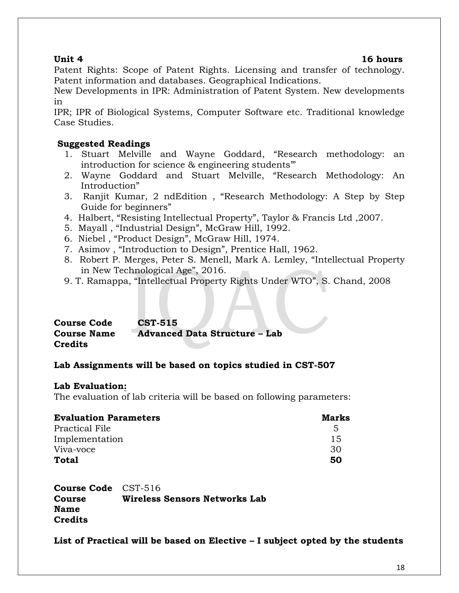### **Unit 4** 16 hours

Patent Rights: Scope of Patent Rights. Licensing and transfer of technology. Patent information and databases. Geographical Indications.

New Developments in IPR: Administration of Patent System. New developments in

IPR; IPR of Biological Systems, Computer Software etc. Traditional knowledge Case Studies.

### **Suggested Readings**

- 1. Stuart Melville and Wayne Goddard, "Research methodology: an introduction for science & engineering students'"
- 2. Wayne Goddard and Stuart Melville, "Research Methodology: An Introduction"
- 3. Ranjit Kumar, 2 ndEdition , "Research Methodology: A Step by Step Guide for beginners"
- 4. Halbert, "Resisting Intellectual Property", Taylor & Francis Ltd ,2007.
- 5. Mayall , "Industrial Design", McGraw Hill, 1992.
- 6. Niebel , "Product Design", McGraw Hill, 1974.
- 7. Asimov , "Introduction to Design", Prentice Hall, 1962.
- 8. Robert P. Merges, Peter S. Menell, Mark A. Lemley, "Intellectual Property in New Technological Age", 2016.
- 9. T. Ramappa, "Intellectual Property Rights Under WTO", S. Chand, 2008

**Course Code CST-515 Course Name Advanced Data Structure – Lab Credits**

### **Lab Assignments will be based on topics studied in CST-507**

### **Lab Evaluation:**

The evaluation of lab criteria will be based on following parameters:

| <b>Evaluation Parameters</b> | Marks |
|------------------------------|-------|
| Practical File               | -5    |
| Implementation               | 15    |
| Viva-voce                    | -30   |
| <b>Total</b>                 | 50    |

**Course Code** CST-516 **Course Name Wireless Sensors Networks Lab Credits**

**List of Practical will be based on Elective – I subject opted by the students**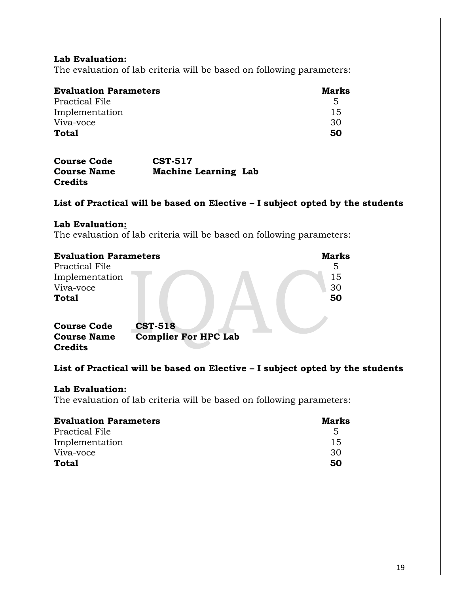### **Lab Evaluation:**

The evaluation of lab criteria will be based on following parameters:

| <b>Evaluation Parameters</b> | Marks |
|------------------------------|-------|
| <b>Practical File</b>        | 5     |
| Implementation               | 15    |
| Viva-voce                    | 30    |
| Total                        | 50    |

| <b>Course Code</b> | <b>CST-517</b>              |  |
|--------------------|-----------------------------|--|
| <b>Course Name</b> | <b>Machine Learning Lab</b> |  |
| <b>Credits</b>     |                             |  |

### **List of Practical will be based on Elective – I subject opted by the students**

### **Lab Evaluation:**

The evaluation of lab criteria will be based on following parameters:

| <b>Evaluation Parameters</b> |                             | <b>Marks</b> |
|------------------------------|-----------------------------|--------------|
| Practical File               |                             | 5            |
| Implementation               |                             | 15           |
| Viva-voce                    |                             | 30           |
| <b>Total</b>                 |                             | 50           |
| <b>Course Code</b>           | <b>CST-518</b>              |              |
| <b>Course Name</b>           | <b>Complier For HPC Lab</b> |              |
| <b>Credits</b>               |                             |              |

### **List of Practical will be based on Elective – I subject opted by the students**

### **Lab Evaluation:**

The evaluation of lab criteria will be based on following parameters:

| <b>Evaluation Parameters</b> | Marks         |
|------------------------------|---------------|
| Practical File               | $\mathcal{L}$ |
| Implementation               | 15            |
| Viva-voce                    | 30            |
| Total                        | 50            |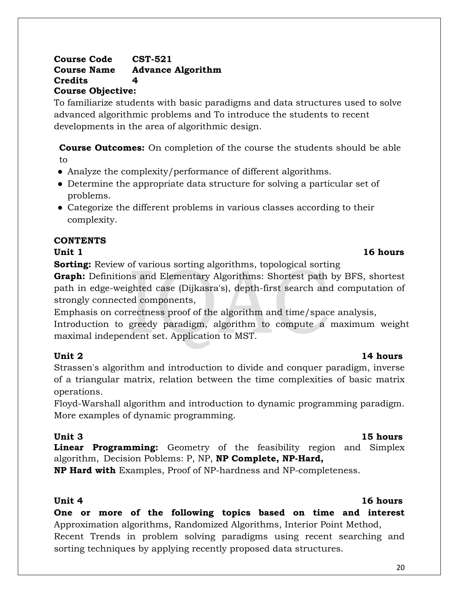### 20

### **Course Code CST-521 Course Name Advance Algorithm Credits 4 Course Objective:**

To familiarize students with basic paradigms and data structures used to solve advanced algorithmic problems and To introduce the students to recent developments in the area of algorithmic design.

**Course Outcomes:** On completion of the course the students should be able to

- Analyze the complexity/performance of different algorithms.
- Determine the appropriate data structure for solving a particular set of problems.
- Categorize the different problems in various classes according to their complexity.

### **CONTENTS**

**Sorting:** Review of various sorting algorithms, topological sorting

**Graph:** Definitions and Elementary Algorithms: Shortest path by BFS, shortest path in edge-weighted case (Dijkasra's), depth-first search and computation of strongly connected components,

Emphasis on correctness proof of the algorithm and time/space analysis,

Introduction to greedy paradigm, algorithm to compute a maximum weight maximal independent set. Application to MST.

### **Unit 2** 14 hours

Strassen's algorithm and introduction to divide and conquer paradigm, inverse of a triangular matrix, relation between the time complexities of basic matrix operations.

Floyd-Warshall algorithm and introduction to dynamic programming paradigm. More examples of dynamic programming.

**Linear Programming:** Geometry of the feasibility region and Simplex algorithm, Decision Poblems: P, NP, **NP Complete, NP-Hard,**

**NP Hard with** Examples, Proof of NP-hardness and NP-completeness.

### **Unit 4** 16 hours

**One or more of the following topics based on time and interest**  Approximation algorithms, Randomized Algorithms, Interior Point Method, Recent Trends in problem solving paradigms using recent searching and sorting techniques by applying recently proposed data structures.

# **Unit 3 15 hours**

# **Unit 1 16 hours**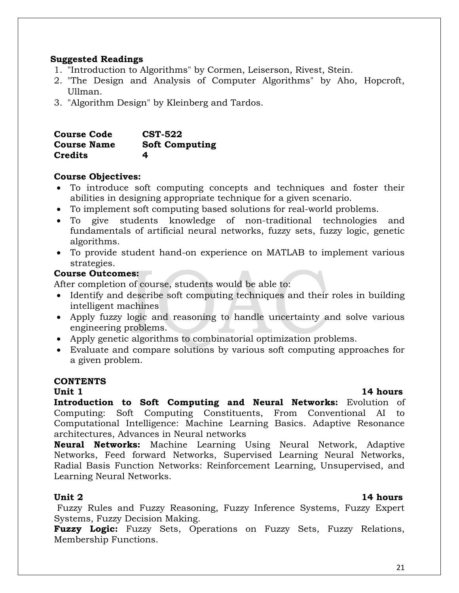### **Suggested Readings**

- 1. "Introduction to Algorithms" by Cormen, Leiserson, Rivest, Stein.
- 2. "The Design and Analysis of Computer Algorithms" by Aho, Hopcroft, Ullman.
- 3. "Algorithm Design" by Kleinberg and Tardos.

| <b>Course Code</b> | <b>CST-522</b>        |
|--------------------|-----------------------|
| <b>Course Name</b> | <b>Soft Computing</b> |
| <b>Credits</b>     | 4                     |

### **Course Objectives:**

- To introduce soft computing concepts and techniques and foster their abilities in designing appropriate technique for a given scenario.
- To implement soft computing based solutions for real-world problems.
- To give students knowledge of non-traditional technologies and fundamentals of artificial neural networks, fuzzy sets, fuzzy logic, genetic algorithms.
- To provide student hand-on experience on MATLAB to implement various strategies.

### **Course Outcomes:**

After completion of course, students would be able to:

- Identify and describe soft computing techniques and their roles in building intelligent machines
- Apply fuzzy logic and reasoning to handle uncertainty and solve various engineering problems.
- Apply genetic algorithms to combinatorial optimization problems.
- Evaluate and compare solutions by various soft computing approaches for a given problem.

### **CONTENTS**

**Unit 1** 14 hours **Introduction to Soft Computing and Neural Networks:** Evolution of Computing: Soft Computing Constituents, From Conventional AI to Computational Intelligence: Machine Learning Basics. Adaptive Resonance architectures, Advances in Neural networks

**Neural Networks:** Machine Learning Using Neural Network, Adaptive Networks, Feed forward Networks, Supervised Learning Neural Networks, Radial Basis Function Networks: Reinforcement Learning, Unsupervised, and Learning Neural Networks.

### **Unit 2** 14 hours

Fuzzy Rules and Fuzzy Reasoning, Fuzzy Inference Systems, Fuzzy Expert Systems, Fuzzy Decision Making.

**Fuzzy Logic:** Fuzzy Sets, Operations on Fuzzy Sets, Fuzzy Relations, Membership Functions.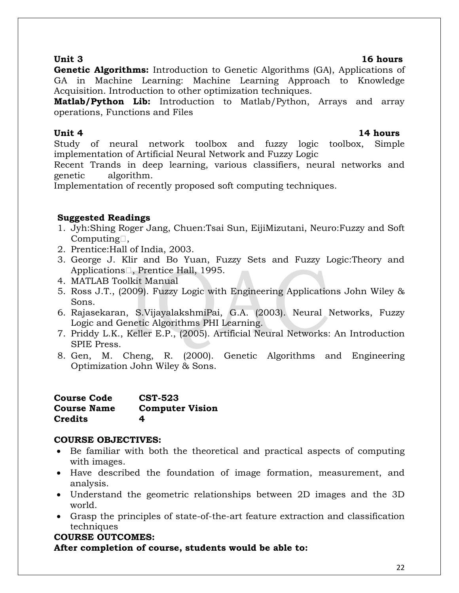### **Unit 3 16 hours**

**Genetic Algorithms:** Introduction to Genetic Algorithms (GA), Applications of GA in Machine Learning: Machine Learning Approach to Knowledge Acquisition. Introduction to other optimization techniques.

**Matlab/Python Lib:** Introduction to Matlab/Python, Arrays and array operations, Functions and Files

### Unit 4 **14 hours**

Study of neural network toolbox and fuzzy logic toolbox, Simple implementation of Artificial Neural Network and Fuzzy Logic

Recent Trands in deep learning, various classifiers, neural networks and genetic algorithm.

Implementation of recently proposed soft computing techniques.

### **Suggested Readings**

- 1. Jyh:Shing Roger Jang, Chuen:Tsai Sun, EijiMizutani, Neuro:Fuzzy and Soft Computing $\Box$ ,
- 2. Prentice:Hall of India, 2003.
- 3. George J. Klir and Bo Yuan, Fuzzy Sets and Fuzzy Logic:Theory and Applications $\Box$ , Prentice Hall, 1995.
- 4. MATLAB Toolkit Manual
- 5. Ross J.T., (2009). Fuzzy Logic with Engineering Applications John Wiley & Sons.
- 6. Rajasekaran, S.VijayalakshmiPai, G.A. (2003). Neural Networks, Fuzzy Logic and Genetic Algorithms PHI Learning.
- 7. Priddy L.K., Keller E.P., (2005). Artificial Neural Networks: An Introduction SPIE Press.
- 8. Gen, M. Cheng, R. (2000). Genetic Algorithms and Engineering Optimization John Wiley & Sons.

| <b>Course Code</b> | <b>CST-523</b>         |
|--------------------|------------------------|
| <b>Course Name</b> | <b>Computer Vision</b> |
| <b>Credits</b>     | 4                      |

### **COURSE OBJECTIVES:**

- Be familiar with both the theoretical and practical aspects of computing with images.
- Have described the foundation of image formation, measurement, and analysis.
- Understand the geometric relationships between 2D images and the 3D world.
- Grasp the principles of state-of-the-art feature extraction and classification techniques

### **COURSE OUTCOMES: After completion of course, students would be able to:**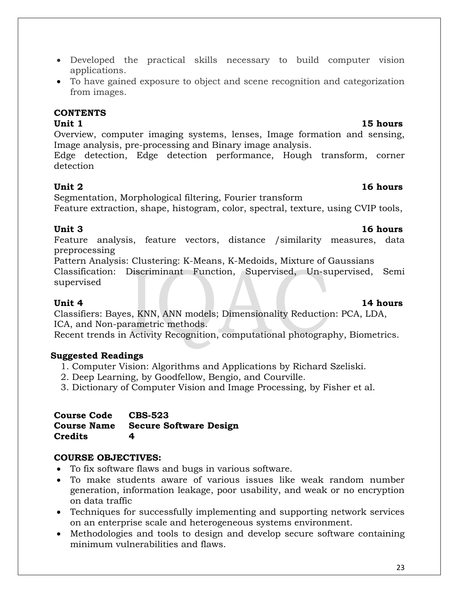- Developed the practical skills necessary to build computer vision applications.
- To have gained exposure to object and scene recognition and categorization from images.

### **CONTENTS**

Overview, computer imaging systems, lenses, Image formation and sensing, Image analysis, pre-processing and Binary image analysis.

Edge detection, Edge detection performance, Hough transform, corner detection

# **Unit 2** 16 hours

Segmentation, Morphological filtering, Fourier transform Feature extraction, shape, histogram, color, spectral, texture, using CVIP tools,

# **Unit 3 16 hours**

Feature analysis, feature vectors, distance /similarity measures, data preprocessing

Pattern Analysis: Clustering: K-Means, K-Medoids, Mixture of Gaussians Classification: Discriminant Function, Supervised, Un-supervised, Semi supervised

**Unit 4** 14 hours Classifiers: Bayes, KNN, ANN models; Dimensionality Reduction: PCA, LDA, ICA, and Non-parametric methods.

Recent trends in Activity Recognition, computational photography, Biometrics.

# **Suggested Readings**

- 1. Computer Vision: Algorithms and Applications by Richard Szeliski.
- 2. Deep Learning, by Goodfellow, Bengio, and Courville.
- 3. Dictionary of Computer Vision and Image Processing, by Fisher et al.

### **Course Code CBS-523 Course Name Secure Software Design Credits 4**

# **COURSE OBJECTIVES:**

- To fix software flaws and bugs in various software.
- To make students aware of various issues like weak random number generation, information leakage, poor usability, and weak or no encryption on data traffic
- Techniques for successfully implementing and supporting network services on an enterprise scale and heterogeneous systems environment.
- Methodologies and tools to design and develop secure software containing minimum vulnerabilities and flaws.

# **Unit 1** 15 hours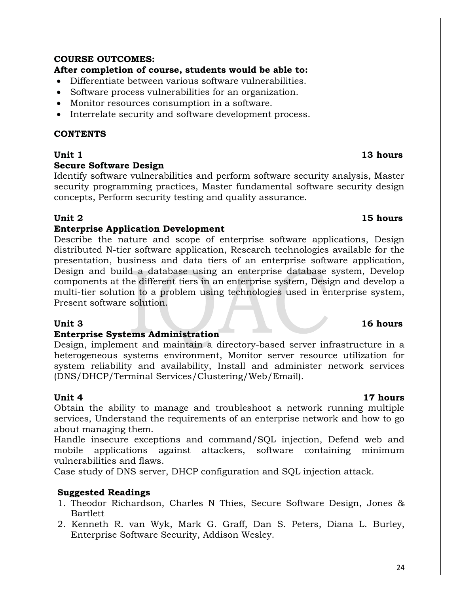### **COURSE OUTCOMES:**

### **After completion of course, students would be able to:**

- Differentiate between various software vulnerabilities.
- Software process vulnerabilities for an organization.
- Monitor resources consumption in a software.
- Interrelate security and software development process.

### **CONTENTS**

### **Unit 1** 13 hours

### **Secure Software Design**

Identify software vulnerabilities and perform software security analysis, Master security programming practices, Master fundamental software security design concepts, Perform security testing and quality assurance.

### **Unit 2 15 hours**

### **Enterprise Application Development**

Describe the nature and scope of enterprise software applications, Design distributed N-tier software application, Research technologies available for the presentation, business and data tiers of an enterprise software application, Design and build a database using an enterprise database system, Develop components at the different tiers in an enterprise system, Design and develop a multi-tier solution to a problem using technologies used in enterprise system, Present software solution.

### **Enterprise Systems Administration**

Design, implement and maintain a directory-based server infrastructure in a heterogeneous systems environment, Monitor server resource utilization for system reliability and availability, Install and administer network services (DNS/DHCP/Terminal Services/Clustering/Web/Email).

Obtain the ability to manage and troubleshoot a network running multiple services, Understand the requirements of an enterprise network and how to go about managing them.

Handle insecure exceptions and command/SQL injection, Defend web and mobile applications against attackers, software containing minimum vulnerabilities and flaws.

Case study of DNS server, DHCP configuration and SQL injection attack.

### **Suggested Readings**

- 1. Theodor Richardson, Charles N Thies, Secure Software Design, Jones & Bartlett
- 2. Kenneth R. van Wyk, Mark G. Graff, Dan S. Peters, Diana L. Burley, Enterprise Software Security, Addison Wesley.

# Unit 3 16 hours

# **Unit 4** 17 hours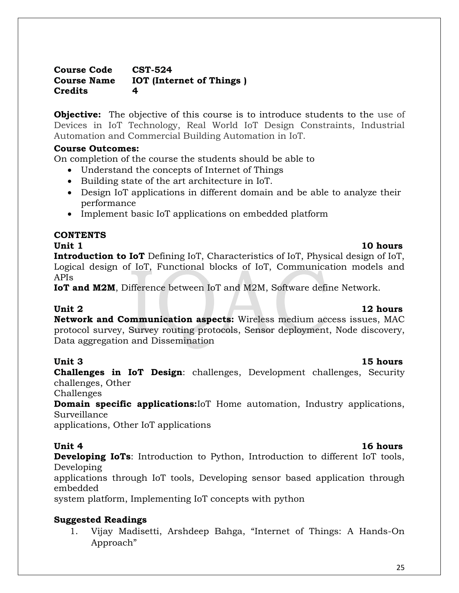### **Course Code CST-524 Course Name IOT (Internet of Things ) Credits 4**

**Objective:** The objective of this course is to introduce students to the use of Devices in IoT Technology, Real World IoT Design Constraints, Industrial Automation and Commercial Building Automation in IoT.

# **Course Outcomes:**

On completion of the course the students should be able to

- Understand the concepts of Internet of Things
- Building state of the art architecture in IoT.
- Design IoT applications in different domain and be able to analyze their performance
- Implement basic IoT applications on embedded platform

# **CONTENTS**

**Unit 1** 10 hours

**Introduction to IoT** Defining IoT, Characteristics of IoT, Physical design of IoT, Logical design of IoT, Functional blocks of IoT, Communication models and APIs

**IoT and M2M**, Difference between IoT and M2M, Software define Network.

**Network and Communication aspects:** Wireless medium access issues, MAC protocol survey, Survey routing protocols, Sensor deployment, Node discovery, Data aggregation and Dissemination

### **Unit 3 15 hours**

**Challenges in IoT Design**: challenges, Development challenges, Security challenges, Other

Challenges

**Domain specific applications:**IoT Home automation, Industry applications, Surveillance

applications, Other IoT applications

**Unit 4** 16 hours **Developing IoTs**: Introduction to Python, Introduction to different IoT tools, Developing

applications through IoT tools, Developing sensor based application through embedded

system platform, Implementing IoT concepts with python

# **Suggested Readings**

1. Vijay Madisetti, Arshdeep Bahga, "Internet of Things: A Hands-On Approach"

### **Unit 2 12 hours**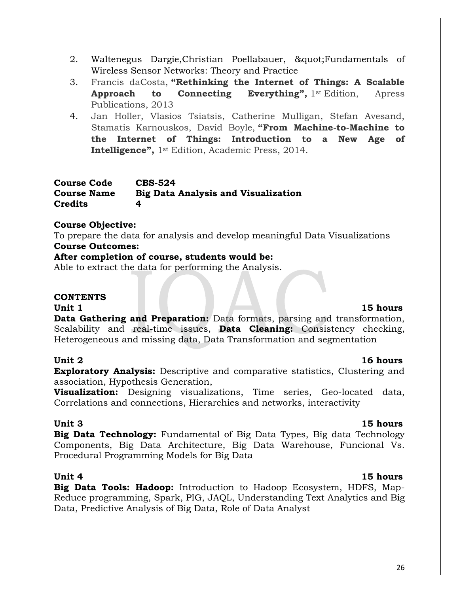- 2. Waltenegus Dargie, Christian Poellabauer, & quot; Fundamentals of Wireless Sensor Networks: Theory and Practice
- 3. Francis daCosta, **"Rethinking the Internet of Things: A Scalable Approach to Connecting Everything", 1st Edition, Apress** Publications, 2013
- 4. Jan Holler, Vlasios Tsiatsis, Catherine Mulligan, Stefan Avesand, Stamatis Karnouskos, David Boyle, **"From Machine-to-Machine to the Internet of Things: Introduction to a New Age of Intelligence",** 1st Edition, Academic Press, 2014.

**Course Code CBS-524 Course Name Big Data Analysis and Visualization Credits 4**

### **Course Objective:**

To prepare the data for analysis and develop meaningful Data Visualizations **Course Outcomes:**

### **After completion of course, students would be:**

Able to extract the data for performing the Analysis.

### **CONTENTS**

### **Unit 1** 15 hours

**Data Gathering and Preparation:** Data formats, parsing and transformation, Scalability and real-time issues, **Data Cleaning:** Consistency checking, Heterogeneous and missing data, Data Transformation and segmentation

### **Unit 2** 16 hours

**Exploratory Analysis:** Descriptive and comparative statistics, Clustering and association, Hypothesis Generation,

**Visualization:** Designing visualizations, Time series, Geo-located data, Correlations and connections, Hierarchies and networks, interactivity

### **Unit 3 15 hours**

**Big Data Technology:** Fundamental of Big Data Types, Big data Technology Components, Big Data Architecture, Big Data Warehouse, Funcional Vs. Procedural Programming Models for Big Data

**Unit 4** 15 hours **Big Data Tools: Hadoop:** Introduction to Hadoop Ecosystem, HDFS, Map-Reduce programming, Spark, PIG, JAQL, Understanding Text Analytics and Big Data, Predictive Analysis of Big Data, Role of Data Analyst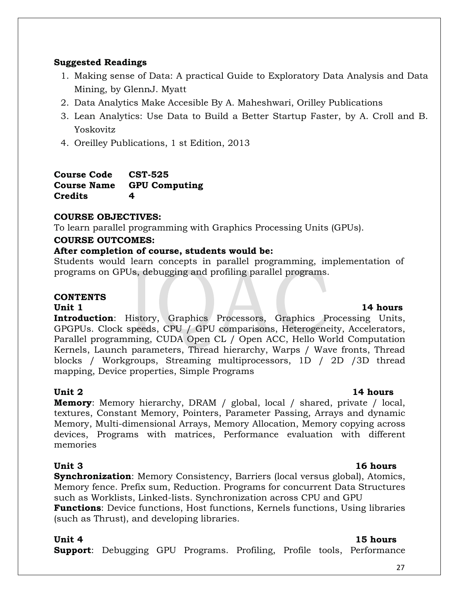### **Suggested Readings**

- 1. Making sense of Data: A practical Guide to Exploratory Data Analysis and Data Mining, by GlennJ. Myatt
- 2. Data Analytics Make Accesible By A. Maheshwari, Orilley Publications
- 3. Lean Analytics: Use Data to Build a Better Startup Faster, by A. Croll and B. Yoskovitz
- 4. Oreilley Publications, 1 st Edition, 2013

### **Course Code CST-525 Course Name GPU Computing Credits 4**

### **COURSE OBJECTIVES:**

To learn parallel programming with Graphics Processing Units (GPUs).

### **COURSE OUTCOMES:**

### **After completion of course, students would be:**

Students would learn concepts in parallel programming, implementation of programs on GPUs, debugging and profiling parallel programs.

### **CONTENTS**

**Introduction**: History, Graphics Processors, Graphics Processing Units, GPGPUs. Clock speeds, CPU / GPU comparisons, Heterogeneity, Accelerators, Parallel programming, CUDA Open CL / Open ACC, Hello World Computation Kernels, Launch parameters, Thread hierarchy, Warps / Wave fronts, Thread blocks / Workgroups, Streaming multiprocessors, 1D / 2D /3D thread mapping, Device properties, Simple Programs

**Unit 2** 14 hours **Memory**: Memory hierarchy, DRAM / global, local / shared, private / local, textures, Constant Memory, Pointers, Parameter Passing, Arrays and dynamic Memory, Multi-dimensional Arrays, Memory Allocation, Memory copying across devices, Programs with matrices, Performance evaluation with different memories

**Synchronization**: Memory Consistency, Barriers (local versus global), Atomics, Memory fence. Prefix sum, Reduction. Programs for concurrent Data Structures such as Worklists, Linked-lists. Synchronization across CPU and GPU **Functions**: Device functions, Host functions, Kernels functions, Using libraries (such as Thrust), and developing libraries.

### **Unit 4** 15 hours

**Support**: Debugging GPU Programs. Profiling, Profile tools, Performance

# **Unit 1** 14 hours

### **Unit 3 16 hours**

### 27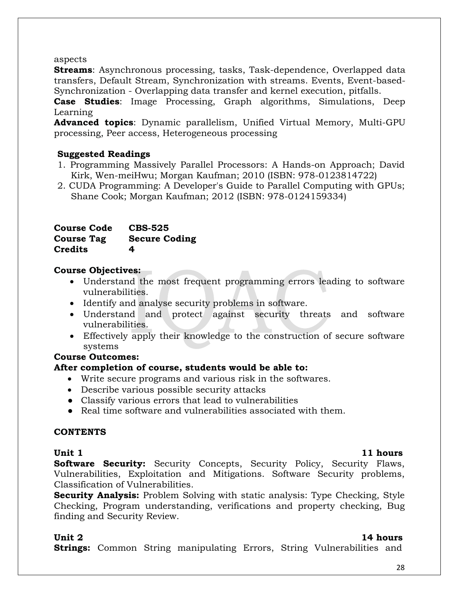aspects

**Streams**: Asynchronous processing, tasks, Task-dependence, Overlapped data transfers, Default Stream, Synchronization with streams. Events, Event-based-Synchronization - Overlapping data transfer and kernel execution, pitfalls.

**Case Studies**: Image Processing, Graph algorithms, Simulations, Deep Learning

**Advanced topics**: Dynamic parallelism, Unified Virtual Memory, Multi-GPU processing, Peer access, Heterogeneous processing

### **Suggested Readings**

- 1. Programming Massively Parallel Processors: A Hands-on Approach; David Kirk, Wen-meiHwu; Morgan Kaufman; 2010 (ISBN: 978-0123814722)
- 2. CUDA Programming: A Developer's Guide to Parallel Computing with GPUs; Shane Cook; Morgan Kaufman; 2012 (ISBN: 978-0124159334)

### **Course Code CBS-525 Course Tag Secure Coding Credits 4**

### **Course Objectives:**

- Understand the most frequent programming errors leading to software vulnerabilities.
- Identify and analyse security problems in software.
- Understand and protect against security threats and software vulnerabilities.
- Effectively apply their knowledge to the construction of secure software systems

### **Course Outcomes:**

### **After completion of course, students would be able to:**

- Write secure programs and various risk in the softwares.
- Describe various possible security attacks
- Classify various errors that lead to vulnerabilities
- Real time software and vulnerabilities associated with them.

### **CONTENTS**

**Software Security:** Security Concepts, Security Policy, Security Flaws, Vulnerabilities, Exploitation and Mitigations. Software Security problems, Classification of Vulnerabilities.

**Security Analysis:** Problem Solving with static analysis: Type Checking, Style Checking, Program understanding, verifications and property checking, Bug finding and Security Review.

### **Unit 2** 14 hours

### **Strings:** Common String manipulating Errors, String Vulnerabilities and

### **Unit 1** 11 hours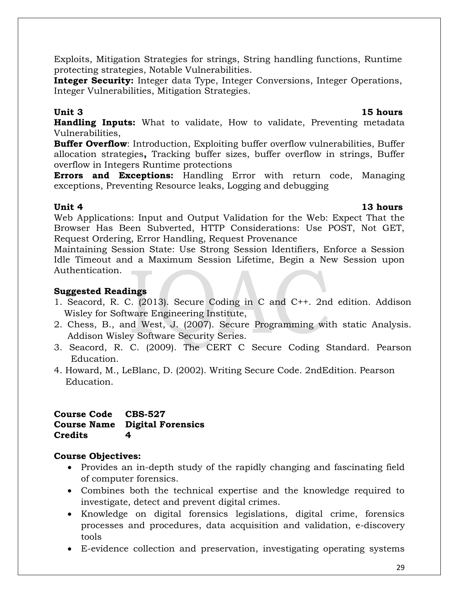Exploits, Mitigation Strategies for strings, String handling functions, Runtime protecting strategies, Notable Vulnerabilities.

**Integer Security:** Integer data Type, Integer Conversions, Integer Operations, Integer Vulnerabilities, Mitigation Strategies.

**Handling Inputs:** What to validate, How to validate, Preventing metadata Vulnerabilities,

**Buffer Overflow**: Introduction, Exploiting buffer overflow vulnerabilities, Buffer allocation strategies**,** Tracking buffer sizes, buffer overflow in strings, Buffer overflow in Integers Runtime protections

**Errors and Exceptions:** Handling Error with return code, Managing exceptions, Preventing Resource leaks, Logging and debugging

### **Unit 4** 13 hours

Web Applications: Input and Output Validation for the Web: Expect That the Browser Has Been Subverted, HTTP Considerations: Use POST, Not GET, Request Ordering, Error Handling, Request Provenance

Maintaining Session State: Use Strong Session Identifiers, Enforce a Session Idle Timeout and a Maximum Session Lifetime, Begin a New Session upon Authentication.

### **Suggested Readings**

- 1. Seacord, R. C. (2013). Secure Coding in C and C++. 2nd edition. Addison Wisley for Software Engineering Institute,
- 2. Chess, B., and West, J. (2007). Secure Programming with static Analysis. Addison Wisley Software Security Series.
- 3. Seacord, R. C. (2009). The CERT C Secure Coding Standard. Pearson Education.
- 4. Howard, M., LeBlanc, D. (2002). Writing Secure Code. 2ndEdition. Pearson Education.

### **Course Code CBS-527 Course Name Digital Forensics Credits 4**

### **Course Objectives:**

- Provides an in-depth study of the rapidly changing and fascinating field of computer forensics.
- Combines both the technical expertise and the knowledge required to investigate, detect and prevent digital crimes.
- Knowledge on digital forensics legislations, digital crime, forensics processes and procedures, data acquisition and validation, e-discovery tools
- E-evidence collection and preservation, investigating operating systems

### **Unit 3 15 hours**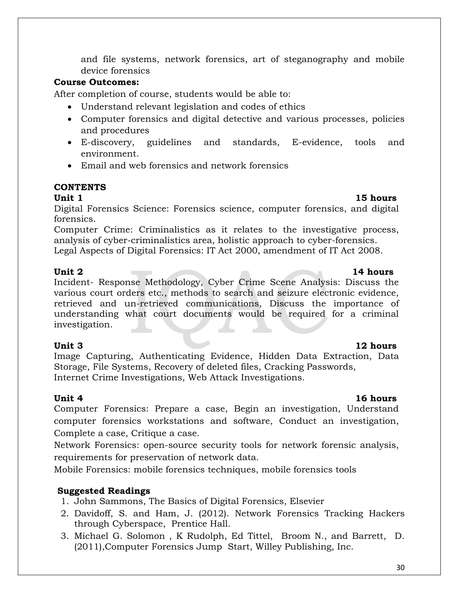and file systems, network forensics, art of steganography and mobile device forensics

### **Course Outcomes:**

After completion of course, students would be able to:

- Understand relevant legislation and codes of ethics
- Computer forensics and digital detective and various processes, policies and procedures
- E-discovery, guidelines and standards, E-evidence, tools and environment.
- Email and web forensics and network forensics

### **CONTENTS**

Digital Forensics Science: Forensics science, computer forensics, and digital forensics.

Computer Crime: Criminalistics as it relates to the investigative process, analysis of cyber-criminalistics area, holistic approach to cyber-forensics. Legal Aspects of Digital Forensics: IT Act 2000, amendment of IT Act 2008.

**Unit 2** 14 hours Incident- Response Methodology, Cyber Crime Scene Analysis: Discuss the various court orders etc., methods to search and seizure electronic evidence, retrieved and un-retrieved communications, Discuss the importance of understanding what court documents would be required for a criminal investigation.

Unit 3 12 hours Image Capturing, Authenticating Evidence, Hidden Data Extraction, Data Storage, File Systems, Recovery of deleted files, Cracking Passwords, Internet Crime Investigations, Web Attack Investigations.

### **Unit 4** 16 hours

Computer Forensics: Prepare a case, Begin an investigation, Understand computer forensics workstations and software, Conduct an investigation, Complete a case, Critique a case.

Network Forensics: open-source security tools for network forensic analysis, requirements for preservation of network data.

Mobile Forensics: mobile forensics techniques, mobile forensics tools

### **Suggested Readings**

- 1. John Sammons, The Basics of Digital Forensics, Elsevier
- 2. Davidoff, S. and Ham, J. (2012). Network Forensics Tracking Hackers through Cyberspace, Prentice Hall.
- 3. Michael G. Solomon , K Rudolph, Ed Tittel, Broom N., and Barrett, D. (2011),Computer Forensics Jump Start, Willey Publishing, Inc.

### **Unit 1** 15 hours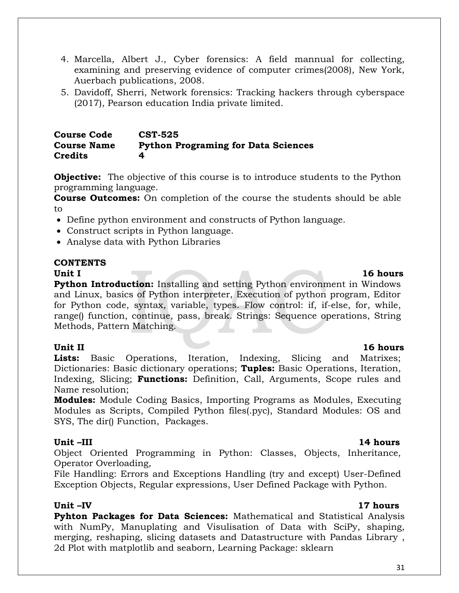- 4. Marcella, Albert J., Cyber forensics: A field mannual for collecting, examining and preserving evidence of computer crimes(2008), New York, Auerbach publications, 2008.
- 5. Davidoff, Sherri, Network forensics: Tracking hackers through cyberspace (2017), Pearson education India private limited.

### **Course Code CST-525 Course Name Python Programing for Data Sciences Credits 4**

**Objective:** The objective of this course is to introduce students to the Python programming language.

**Course Outcomes:** On completion of the course the students should be able to

- Define python environment and constructs of Python language.
- Construct scripts in Python language.
- Analyse data with Python Libraries

### **CONTENTS**

### Unit I 16 hours

**Python Introduction:** Installing and setting Python environment in Windows and Linux, basics of Python interpreter, Execution of python program, Editor for Python code, syntax, variable, types. Flow control: if, if-else, for, while, range() function, continue, pass, break. Strings: Sequence operations, String Methods, Pattern Matching.

### **Unit II** 16 hours

Lists: Basic Operations, Iteration, Indexing, Slicing and Matrixes; Dictionaries: Basic dictionary operations; **Tuples:** Basic Operations, Iteration, Indexing, Slicing; **Functions:** Definition, Call, Arguments, Scope rules and Name resolution;

**Modules:** Module Coding Basics, Importing Programs as Modules, Executing Modules as Scripts, Compiled Python files(.pyc), Standard Modules: OS and SYS, The dir() Function, Packages.

### **Unit –III 14 hours**

Object Oriented Programming in Python: Classes, Objects, Inheritance, Operator Overloading,

File Handling: Errors and Exceptions Handling (try and except) User-Defined Exception Objects, Regular expressions, User Defined Package with Python.

**Pyhton Packages for Data Sciences:** Mathematical and Statistical Analysis with NumPy, Manuplating and Visulisation of Data with SciPy, shaping, merging, reshaping, slicing datasets and Datastructure with Pandas Library , 2d Plot with matplotlib and seaborn, Learning Package: sklearn

### **Unit –IV 17 hours**

### 31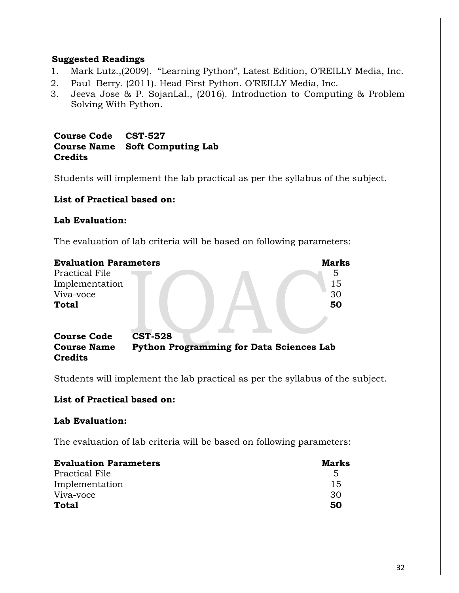### **Suggested Readings**

- 1. Mark Lutz.,(2009). "Learning Python", Latest Edition, O'REILLY Media, Inc.
- 2. Paul Berry. (2011). Head First Python. O'REILLY Media, Inc.
- 3. Jeeva Jose & P. SojanLal., (2016). Introduction to Computing & Problem Solving With Python.

**Course Code CST-527 Course Name Soft Computing Lab Credits**

Students will implement the lab practical as per the syllabus of the subject.

### **List of Practical based on:**

### **Lab Evaluation:**

The evaluation of lab criteria will be based on following parameters:

| <b>Evaluation Parameters</b>         |                                                 | <b>Marks</b> |
|--------------------------------------|-------------------------------------------------|--------------|
| Practical File                       |                                                 | 5            |
| Implementation                       |                                                 | 15           |
| Viva-voce                            |                                                 | 30           |
| Total                                |                                                 | 50           |
|                                      |                                                 |              |
| <b>Course Code</b>                   | <b>CST-528</b>                                  |              |
| <b>Course Name</b><br><b>Credits</b> | <b>Python Programming for Data Sciences Lab</b> |              |

Students will implement the lab practical as per the syllabus of the subject.

### **List of Practical based on:**

### **Lab Evaluation:**

The evaluation of lab criteria will be based on following parameters:

| <b>Evaluation Parameters</b> | Marks |
|------------------------------|-------|
| Practical File               | -5.   |
| Implementation               | 15    |
| Viva-voce                    | -30   |
| Total                        | 50    |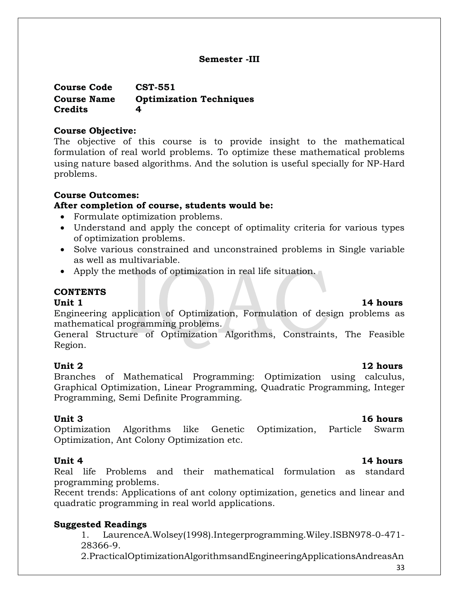### **Semester -III**

**Course Code CST-551 Course Name Optimization Techniques Credits 4**

### **Course Objective:**

The objective of this course is to provide insight to the mathematical formulation of real world problems. To optimize these mathematical problems using nature based algorithms. And the solution is useful specially for NP-Hard problems.

### **Course Outcomes:**

### **After completion of course, students would be:**

- Formulate optimization problems.
- Understand and apply the concept of optimality criteria for various types of optimization problems.
- Solve various constrained and unconstrained problems in Single variable as well as multivariable.
- Apply the methods of optimization in real life situation.

### **CONTENTS**

### **Unit 1** 14 hours

Engineering application of Optimization, Formulation of design problems as mathematical programming problems.

General Structure of Optimization Algorithms, Constraints, The Feasible Region.

### **Unit 2** 12 hours

Branches of Mathematical Programming: Optimization using calculus, Graphical Optimization, Linear Programming, Quadratic Programming, Integer Programming, Semi Definite Programming.

### **Unit 3 16 hours**

Optimization Algorithms like Genetic Optimization, Particle Swarm Optimization, Ant Colony Optimization etc.

### **Unit 4** 14 hours

Real life Problems and their mathematical formulation as standard programming problems.

Recent trends: Applications of ant colony optimization, genetics and linear and quadratic programming in real world applications.

### **Suggested Readings**

1. LaurenceA.Wolsey(1998).Integerprogramming.Wiley.ISBN978-0-471- 28366-9.

2.PracticalOptimizationAlgorithmsandEngineeringApplicationsAndreasAn

### 33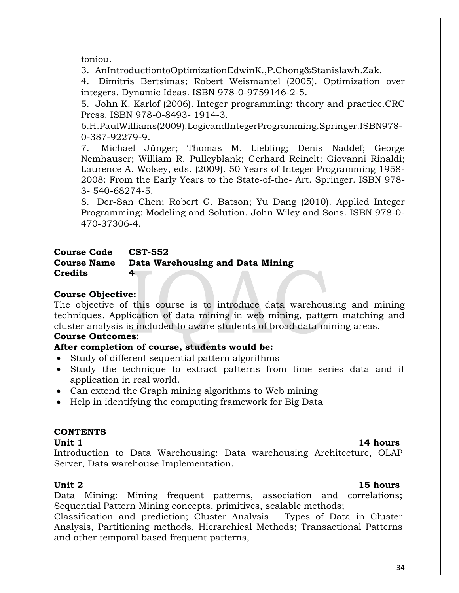### toniou.

3. AnIntroductiontoOptimizationEdwinK.,P.Chong&Stanislawh.Zak.

4. Dimitris Bertsimas; Robert Weismantel (2005). Optimization over integers. Dynamic Ideas. ISBN 978-0-9759146-2-5.

5. John K. Karlof (2006). Integer programming: theory and practice.CRC Press. ISBN 978-0-8493- 1914-3.

6.H.PaulWilliams(2009).LogicandIntegerProgramming.Springer.ISBN978- 0-387-92279-9.

7. Michael Jünger; Thomas M. Liebling; Denis Naddef; George Nemhauser; William R. Pulleyblank; Gerhard Reinelt; Giovanni Rinaldi; Laurence A. Wolsey, eds. (2009). 50 Years of Integer Programming 1958- 2008: From the Early Years to the State-of-the- Art. Springer. ISBN 978- 3- 540-68274-5.

8. Der-San Chen; Robert G. Batson; Yu Dang (2010). Applied Integer Programming: Modeling and Solution. John Wiley and Sons. ISBN 978-0- 470-37306-4.

### **Course Code CST-552**

### **Course Name Data Warehousing and Data Mining Credits 4**

### **Course Objective:**

The objective of this course is to introduce data warehousing and mining techniques. Application of data mining in web mining, pattern matching and cluster analysis is included to aware students of broad data mining areas.

### **Course Outcomes:**

### **After completion of course, students would be:**

- Study of different sequential pattern algorithms
- Study the technique to extract patterns from time series data and it application in real world.
- Can extend the Graph mining algorithms to Web mining
- Help in identifying the computing framework for Big Data

### **CONTENTS**

### **Unit 1** 14 hours

Introduction to Data Warehousing: Data warehousing Architecture, OLAP Server, Data warehouse Implementation.

### **Unit 2** 15 hours

Data Mining: Mining frequent patterns, association and correlations; Sequential Pattern Mining concepts, primitives, scalable methods;

Classification and prediction; Cluster Analysis – Types of Data in Cluster Analysis, Partitioning methods, Hierarchical Methods; Transactional Patterns and other temporal based frequent patterns,

### 34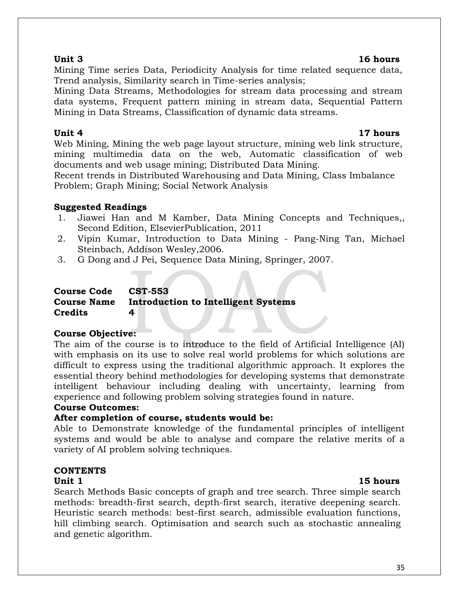### **Unit 3 16 hours**

Mining Time series Data, Periodicity Analysis for time related sequence data, Trend analysis, Similarity search in Time-series analysis;

Mining Data Streams, Methodologies for stream data processing and stream data systems, Frequent pattern mining in stream data, Sequential Pattern Mining in Data Streams, Classification of dynamic data streams.

### **Unit 4 17 hours**

Web Mining, Mining the web page layout structure, mining web link structure, mining multimedia data on the web, Automatic classification of web documents and web usage mining; Distributed Data Mining.

Recent trends in Distributed Warehousing and Data Mining, Class Imbalance Problem; Graph Mining; Social Network Analysis

### **Suggested Readings**

- 1. Jiawei Han and M Kamber, Data Mining Concepts and Techniques,, Second Edition, ElsevierPublication, 2011
- 2. Vipin Kumar, Introduction to Data Mining Pang-Ning Tan, Michael Steinbach, Addison Wesley,2006.
- 3. G Dong and J Pei, Sequence Data Mining, Springer, 2007.

### **Course Code CST-553**

### **Course Name Introduction to Intelligent Systems Credits 4**

### **Course Objective:**

The aim of the course is to introduce to the field of Artificial Intelligence (AI) with emphasis on its use to solve real world problems for which solutions are difficult to express using the traditional algorithmic approach. It explores the essential theory behind methodologies for developing systems that demonstrate intelligent behaviour including dealing with uncertainty, learning from experience and following problem solving strategies found in nature.

### **Course Outcomes:**

### **After completion of course, students would be:**

Able to Demonstrate knowledge of the fundamental principles of intelligent systems and would be able to analyse and compare the relative merits of a variety of AI problem solving techniques.

### **CONTENTS**

**Unit 1** 15 hours Search Methods Basic concepts of graph and tree search. Three simple search methods: breadth-first search, depth-first search, iterative deepening search. Heuristic search methods: best-first search, admissible evaluation functions, hill climbing search. Optimisation and search such as stochastic annealing and genetic algorithm.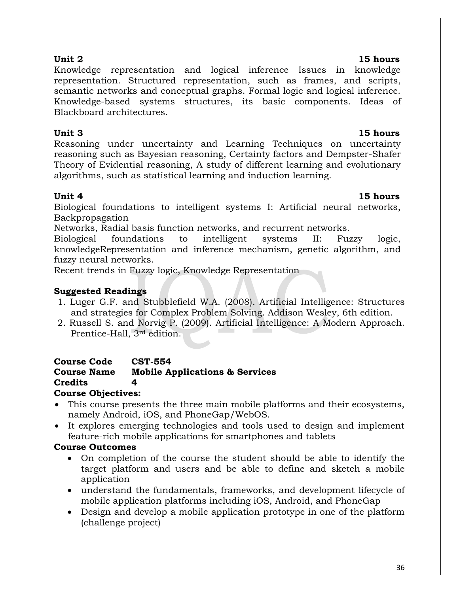Knowledge representation and logical inference Issues in knowledge representation. Structured representation, such as frames, and scripts, semantic networks and conceptual graphs. Formal logic and logical inference. Knowledge-based systems structures, its basic components. Ideas of Blackboard architectures.

### **Unit 3 15 hours**

Reasoning under uncertainty and Learning Techniques on uncertainty reasoning such as Bayesian reasoning, Certainty factors and Dempster-Shafer Theory of Evidential reasoning, A study of different learning and evolutionary algorithms, such as statistical learning and induction learning.

**Unit 4** 15 hours

Biological foundations to intelligent systems I: Artificial neural networks, Backpropagation

Networks, Radial basis function networks, and recurrent networks.

Biological foundations to intelligent systems II: Fuzzy logic, knowledgeRepresentation and inference mechanism, genetic algorithm, and fuzzy neural networks.

Recent trends in Fuzzy logic, Knowledge Representation

# **Suggested Readings**

- 1. Luger G.F. and Stubblefield W.A. (2008). Artificial Intelligence: Structures and strategies for Complex Problem Solving. Addison Wesley, 6th edition.
- 2. Russell S. and Norvig P. (2009). Artificial Intelligence: A Modern Approach. Prentice-Hall, 3rd edition.

### **Course Code CST-554 Course Name Mobile Applications & Services**

# **Credits 4**

### **Course Objectives:**

- This course presents the three main mobile platforms and their ecosystems, namely Android, iOS, and PhoneGap/WebOS.
- It explores emerging technologies and tools used to design and implement feature-rich mobile applications for smartphones and tablets

### **Course Outcomes**

- On completion of the course the student should be able to identify the target platform and users and be able to define and sketch a mobile application
- understand the fundamentals, frameworks, and development lifecycle of mobile application platforms including iOS, Android, and PhoneGap
- Design and develop a mobile application prototype in one of the platform (challenge project)

# **Unit 2** 15 hours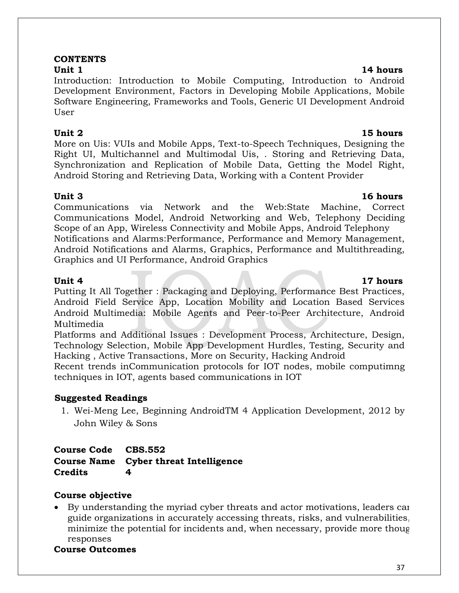### **CONTENTS**

Introduction: Introduction to Mobile Computing, Introduction to Android Development Environment, Factors in Developing Mobile Applications, Mobile Software Engineering, Frameworks and Tools, Generic UI Development Android User

More on Uis: VUIs and Mobile Apps, Text-to-Speech Techniques, Designing the Right UI, Multichannel and Multimodal Uis, . Storing and Retrieving Data, Synchronization and Replication of Mobile Data, Getting the Model Right, Android Storing and Retrieving Data, Working with a Content Provider

### **Unit 3 16 hours**

Communications via Network and the Web:State Machine, Correct Communications Model, Android Networking and Web, Telephony Deciding Scope of an App, Wireless Connectivity and Mobile Apps, Android Telephony Notifications and Alarms:Performance, Performance and Memory Management, Android Notifications and Alarms, Graphics, Performance and Multithreading, Graphics and UI Performance, Android Graphics

Putting It All Together : Packaging and Deploying, Performance Best Practices, Android Field Service App, Location Mobility and Location Based Services Android Multimedia: Mobile Agents and Peer-to-Peer Architecture, Android Multimedia

Platforms and Additional Issues : Development Process, Architecture, Design, Technology Selection, Mobile App Development Hurdles, Testing, Security and Hacking , Active Transactions, More on Security, Hacking Android

Recent trends inCommunication protocols for IOT nodes, mobile computimng techniques in IOT, agents based communications in IOT

### **Suggested Readings**

1. Wei-Meng Lee, Beginning AndroidTM 4 Application Development, 2012 by John Wiley & Sons

### **Course Code CBS.552**

### **Course Name Cyber threat Intelligence Credits 4**

### **Course objective**

 By understanding the myriad cyber threats and actor motivations, leaders can guide organizations in accurately accessing threats, risks, and vulnerabilities, minimize the potential for incidents and, when necessary, provide more thoughtfully responses

### **Course Outcomes**

### **Unit 1** 14 hours

# **Unit 4 17 hours**

# **Unit 2 15 hours**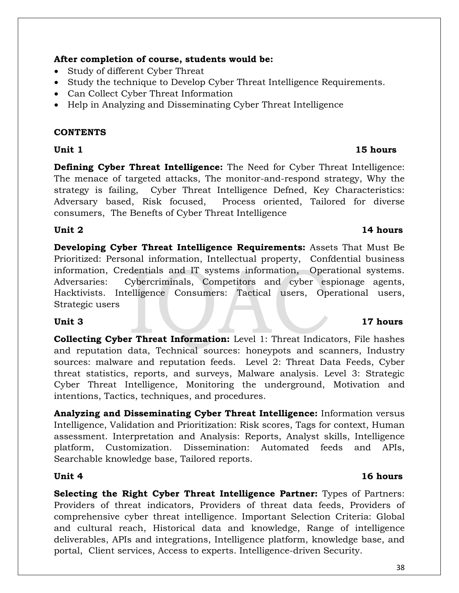### **After completion of course, students would be:**

- Study of different Cyber Threat
- Study the technique to Develop Cyber Threat Intelligence Requirements.
- Can Collect Cyber Threat Information
- Help in Analyzing and Disseminating Cyber Threat Intelligence

### **CONTENTS**

**Defining Cyber Threat Intelligence:** The Need for Cyber Threat Intelligence: The menace of targeted attacks, The monitor-and-respond strategy, Why the strategy is failing, Cyber Threat Intelligence Defned, Key Characteristics: Adversary based, Risk focused, Process oriented, Tailored for diverse consumers, The Benefts of Cyber Threat Intelligence

### **Unit 2** 14 hours

**Developing Cyber Threat Intelligence Requirements:** Assets That Must Be Prioritized: Personal information, Intellectual property, Confdential business information, Credentials and IT systems information, Operational systems. Adversaries: Cybercriminals, Competitors and cyber espionage agents, Hacktivists. Intelligence Consumers: Tactical users, Operational users, Strategic users

**Collecting Cyber Threat Information:** Level 1: Threat Indicators, File hashes and reputation data, Technical sources: honeypots and scanners, Industry sources: malware and reputation feeds. Level 2: Threat Data Feeds, Cyber threat statistics, reports, and surveys, Malware analysis. Level 3: Strategic Cyber Threat Intelligence, Monitoring the underground, Motivation and intentions, Tactics, techniques, and procedures.

**Analyzing and Disseminating Cyber Threat Intelligence:** Information versus Intelligence, Validation and Prioritization: Risk scores, Tags for context, Human assessment. Interpretation and Analysis: Reports, Analyst skills, Intelligence platform, Customization. Dissemination: Automated feeds and APIs, Searchable knowledge base, Tailored reports.

**Selecting the Right Cyber Threat Intelligence Partner:** Types of Partners: Providers of threat indicators, Providers of threat data feeds, Providers of comprehensive cyber threat intelligence. Important Selection Criteria: Global and cultural reach, Historical data and knowledge, Range of intelligence deliverables, APIs and integrations, Intelligence platform, knowledge base, and portal, Client services, Access to experts. Intelligence-driven Security.

# **Unit 3** 17 hours

# **Unit 4** 16 hours

# **Unit 1** 15 hours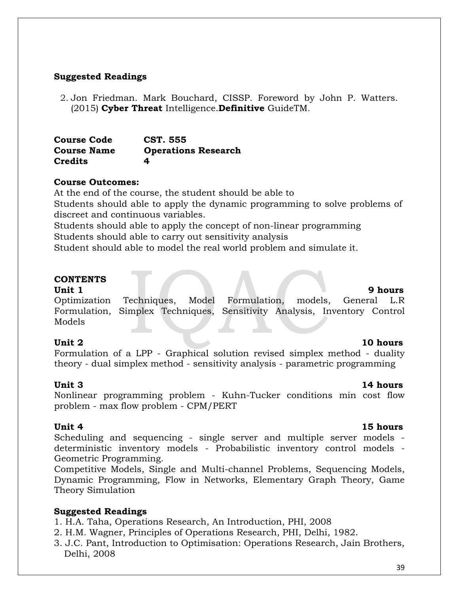### **Suggested Readings**

2. Jon Friedman. Mark Bouchard, CISSP. Foreword by John P. Watters. (2015) **Cyber Threat** Intelligence.**Definitive** GuideTM.

| <b>Course Code</b> | <b>CST. 555</b>            |
|--------------------|----------------------------|
| <b>Course Name</b> | <b>Operations Research</b> |
| <b>Credits</b>     | 4                          |

### **Course Outcomes:**

At the end of the course, the student should be able to Students should able to apply the dynamic programming to solve problems of discreet and continuous variables.

 Students should able to apply the concept of non-linear programming Students should able to carry out sensitivity analysis Student should able to model the real world problem and simulate it.

### **CONTENTS**

**Unit 1 9 hours** Optimization Techniques, Model Formulation, models, General L.R Formulation, Simplex Techniques, Sensitivity Analysis, Inventory Control Models

**Unit 2** 10 hours

Formulation of a LPP - Graphical solution revised simplex method - duality theory - dual simplex method - sensitivity analysis - parametric programming

**Unit 3** 14 hours

Nonlinear programming problem - Kuhn-Tucker conditions min cost flow problem - max flow problem - CPM/PERT

**Unit 4** 15 hours

Scheduling and sequencing - single server and multiple server models deterministic inventory models - Probabilistic inventory control models - Geometric Programming.

Competitive Models, Single and Multi-channel Problems, Sequencing Models, Dynamic Programming, Flow in Networks, Elementary Graph Theory, Game Theory Simulation

### **Suggested Readings**

1. H.A. Taha, Operations Research, An Introduction, PHI, 2008

- 2. H.M. Wagner, Principles of Operations Research, PHI, Delhi, 1982.
- 3. J.C. Pant, Introduction to Optimisation: Operations Research, Jain Brothers, Delhi, 2008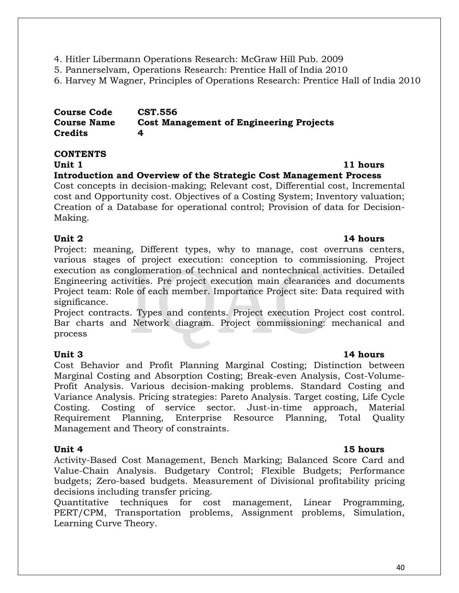4. Hitler Libermann Operations Research: McGraw Hill Pub. 2009

5. Pannerselvam, Operations Research: Prentice Hall of India 2010

6. Harvey M Wagner, Principles of Operations Research: Prentice Hall of India 2010

**Course Code CST.556 Course Name Cost Management of Engineering Projects Credits 4**

### **CONTENTS**

# **Unit 1** 11 hours

### **Introduction and Overview of the Strategic Cost Management Process**

Cost concepts in decision-making; Relevant cost, Differential cost, Incremental cost and Opportunity cost. Objectives of a Costing System; Inventory valuation; Creation of a Database for operational control; Provision of data for Decision-Making.

### **Unit 2** 14 hours

Project: meaning, Different types, why to manage, cost overruns centers, various stages of project execution: conception to commissioning. Project execution as conglomeration of technical and nontechnical activities. Detailed Engineering activities. Pre project execution main clearances and documents Project team: Role of each member. Importance Project site: Data required with significance.

Project contracts. Types and contents. Project execution Project cost control. Bar charts and Network diagram. Project commissioning: mechanical and process

**Unit 3 14 hours** Cost Behavior and Profit Planning Marginal Costing; Distinction between Marginal Costing and Absorption Costing; Break-even Analysis, Cost-Volume-Profit Analysis. Various decision-making problems. Standard Costing and Variance Analysis. Pricing strategies: Pareto Analysis. Target costing, Life Cycle Costing. Costing of service sector. Just-in-time approach, Material Requirement Planning, Enterprise Resource Planning, Total Quality Management and Theory of constraints.

### **Unit 4 15 hours**

Activity-Based Cost Management, Bench Marking; Balanced Score Card and Value-Chain Analysis. Budgetary Control; Flexible Budgets; Performance budgets; Zero-based budgets. Measurement of Divisional profitability pricing decisions including transfer pricing.

Quantitative techniques for cost management, Linear Programming, PERT/CPM, Transportation problems, Assignment problems, Simulation, Learning Curve Theory.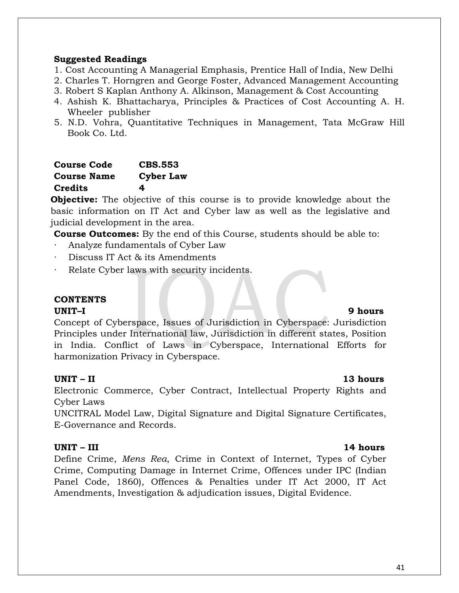### **Suggested Readings**

- 1. Cost Accounting A Managerial Emphasis, Prentice Hall of India, New Delhi
- 2. Charles T. Horngren and George Foster, Advanced Management Accounting
- 3. Robert S Kaplan Anthony A. Alkinson, Management & Cost Accounting
- 4. Ashish K. Bhattacharya, Principles & Practices of Cost Accounting A. H. Wheeler publisher
- 5. N.D. Vohra, Quantitative Techniques in Management, Tata McGraw Hill Book Co. Ltd.

| <b>Course Code</b> | <b>CBS.553</b>   |
|--------------------|------------------|
| <b>Course Name</b> | <b>Cyber Law</b> |
| Credits            | 4                |

**Objective:** The objective of this course is to provide knowledge about the basic information on IT Act and Cyber law as well as the legislative and judicial development in the area.

**Course Outcomes:** By the end of this Course, students should be able to:

- ∙ Analyze fundamentals of Cyber Law
- ∙ Discuss IT Act & its Amendments
- ∙ Relate Cyber laws with security incidents.

### **CONTENTS**

### **UNIT–I 9 hours**

Concept of Cyberspace, Issues of Jurisdiction in Cyberspace: Jurisdiction Principles under International law, Jurisdiction in different states, Position in India. Conflict of Laws in Cyberspace, International Efforts for harmonization Privacy in Cyberspace.

### **UNIT – II 13 hours**

Electronic Commerce, Cyber Contract, Intellectual Property Rights and Cyber Laws

UNCITRAL Model Law, Digital Signature and Digital Signature Certificates, E-Governance and Records.

### **UNIT – III 14 hours**

Define Crime, *Mens Rea*, Crime in Context of Internet, Types of Cyber Crime, Computing Damage in Internet Crime, Offences under IPC (Indian Panel Code, 1860), Offences & Penalties under IT Act 2000, IT Act Amendments, Investigation & adjudication issues, Digital Evidence.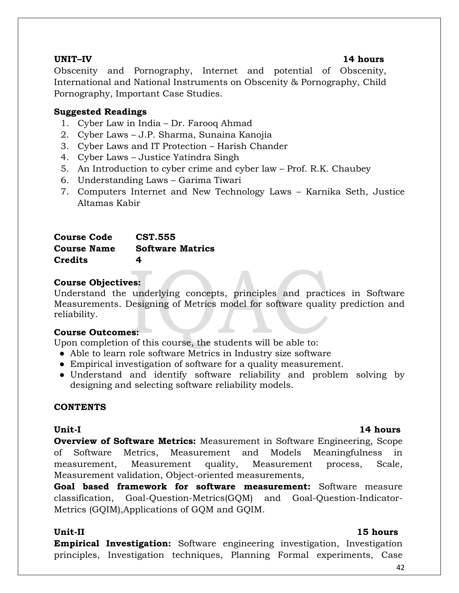### **UNIT–IV 14 hours**

Obscenity and Pornography, Internet and potential of Obscenity, International and National Instruments on Obscenity & Pornography, Child Pornography, Important Case Studies.

### **Suggested Readings**

- 1. Cyber Law in India Dr. Farooq Ahmad
- 2. Cyber Laws J.P. Sharma, Sunaina Kanojia
- 3. Cyber Laws and IT Protection Harish Chander
- 4. Cyber Laws Justice Yatindra Singh
- 5. An Introduction to cyber crime and cyber law Prof. R.K. Chaubey
- 6. Understanding Laws Garima Tiwari
- 7. Computers Internet and New Technology Laws Karnika Seth, Justice Altamas Kabir

| <b>Course Code</b> | <b>CST.555</b>          |
|--------------------|-------------------------|
| <b>Course Name</b> | <b>Software Matrics</b> |
| Credits            | 4                       |

### **Course Objectives:**

Understand the underlying concepts, principles and practices in Software Measurements. Designing of Metrics model for software quality prediction and reliability.

### **Course Outcomes:**

Upon completion of this course, the students will be able to:

- Able to learn role software Metrics in Industry size software
- Empirical investigation of software for a quality measurement.
- Understand and identify software reliability and problem solving by designing and selecting software reliability models.

### **CONTENTS**

### **Unit-I 14 hours**

**Overview of Software Metrics:** Measurement in Software Engineering, Scope of Software Metrics, Measurement and Models Meaningfulness in measurement, Measurement quality, Measurement process, Scale, Measurement validation, Object-oriented measurements,

**Goal based framework for software measurement:** Software measure classification, Goal-Question-Metrics(GQM) and Goal-Question-Indicator-Metrics (GQIM),Applications of GQM and GQIM.

### **Unit-II 15 hours**

# **Empirical Investigation:** Software engineering investigation, Investigation principles, Investigation techniques, Planning Formal experiments, Case

42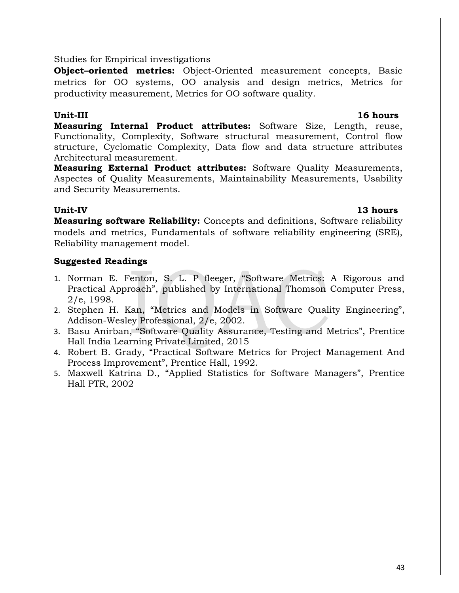### Studies for Empirical investigations

**Object–oriented metrics:** Object-Oriented measurement concepts, Basic metrics for OO systems, OO analysis and design metrics, Metrics for productivity measurement, Metrics for OO software quality.

**Measuring Internal Product attributes:** Software Size, Length, reuse, Functionality, Complexity, Software structural measurement, Control flow structure, Cyclomatic Complexity, Data flow and data structure attributes Architectural measurement.

**Measuring External Product attributes:** Software Quality Measurements, Aspectes of Quality Measurements, Maintainability Measurements, Usability and Security Measurements.

### **Unit-IV 13 hours**

**Measuring software Reliability:** Concepts and definitions, Software reliability models and metrics, Fundamentals of software reliability engineering (SRE), Reliability management model.

# **Suggested Readings**

- 1. Norman E. Fenton, S. L. P fleeger, "Software Metrics: A Rigorous and Practical Approach", published by International Thomson Computer Press, 2/e, 1998.
- 2. Stephen H. Kan, "Metrics and Models in Software Quality Engineering", Addison-Wesley Professional, 2/e, 2002.
- 3. Basu Anirban, "Software Quality Assurance, Testing and Metrics", Prentice Hall India Learning Private Limited, 2015
- 4. Robert B. Grady, "Practical Software Metrics for Project Management And Process Improvement", Prentice Hall, 1992.
- 5. Maxwell Katrina D., "Applied Statistics for Software Managers", Prentice Hall PTR, 2002

### **Unit-III 16 hours**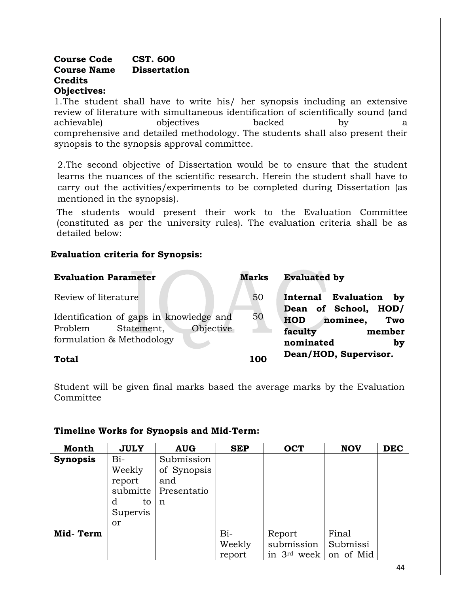### **Course Code CST. 600 Course Name Dissertation Credits Objectives:**

1.The student shall have to write his/ her synopsis including an extensive review of literature with simultaneous identification of scientifically sound (and achievable) objectives backed by a comprehensive and detailed methodology. The students shall also present their synopsis to the synopsis approval committee.

2.The second objective of Dissertation would be to ensure that the student learns the nuances of the scientific research. Herein the student shall have to carry out the activities/experiments to be completed during Dissertation (as mentioned in the synopsis).

The students would present their work to the Evaluation Committee (constituted as per the university rules). The evaluation criteria shall be as detailed below:

### **Evaluation criteria for Synopsis:**

| <b>Evaluation Parameter</b>                                                                                | <b>Marks</b> | <b>Evaluated by</b>                                            |
|------------------------------------------------------------------------------------------------------------|--------------|----------------------------------------------------------------|
| Review of literature                                                                                       | 50           | Internal Evaluation<br>by<br>Dean of School,<br>HOD/           |
| Identification of gaps in knowledge and<br>Objective<br>Statement,<br>Problem<br>formulation & Methodology | 50           | nominee,<br>Two<br>HOD<br>faculty<br>member<br>nominated<br>by |
| <b>Total</b>                                                                                               | 100          | Dean/HOD, Supervisor.                                          |

Student will be given final marks based the average marks by the Evaluation Committee

### **Timeline Works for Synopsis and Mid-Term:**

| <b>Month</b>    | <b>JULY</b> | <b>AUG</b>  | <b>SEP</b> | <b>OCT</b>              | <b>NOV</b> | <b>DEC</b> |
|-----------------|-------------|-------------|------------|-------------------------|------------|------------|
| <b>Synopsis</b> | Bi-         | Submission  |            |                         |            |            |
|                 | Weekly      | of Synopsis |            |                         |            |            |
|                 | report      | and         |            |                         |            |            |
|                 | submitte    | Presentatio |            |                         |            |            |
|                 | d<br>to     | n           |            |                         |            |            |
|                 | Supervis    |             |            |                         |            |            |
|                 | or          |             |            |                         |            |            |
| Mid-Term        |             |             | $Bi-$      | Report                  | Final      |            |
|                 |             |             | Weekly     | submission              | Submissi   |            |
|                 |             |             | report     | in $3^{\text{rd}}$ week | on of Mid  |            |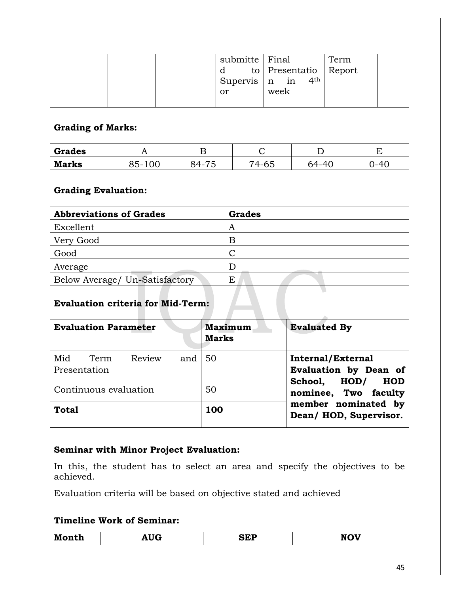|  | submitte Final    |      |                 | Term                      |  |
|--|-------------------|------|-----------------|---------------------------|--|
|  |                   |      |                 | to   Presentatio   Report |  |
|  | Supervis $ n $ in |      | 4 <sup>th</sup> |                           |  |
|  | or                | week |                 |                           |  |
|  |                   |      |                 |                           |  |

### **Grading of Marks:**

| <b>Grades</b> | . .      |                                                                                      |       |          | ┮     |
|---------------|----------|--------------------------------------------------------------------------------------|-------|----------|-------|
| <b>Marks</b>  | 00<br>5- | $\overline{\phantom{m}}$ $\overline{\phantom{m}}$<br>२4-<br>$\overline{\phantom{a}}$ | 74-65 | $64 - 4$ | $1-4$ |

### **Grading Evaluation:**

| <b>Abbreviations of Grades</b> | <b>Grades</b> |
|--------------------------------|---------------|
| Excellent                      | A             |
| Very Good                      | B             |
| Good                           |               |
| Average                        |               |
| Below Average/ Un-Satisfactory | E             |
|                                |               |

# **Evaluation criteria for Mid-Term:**

| <b>Evaluation Parameter</b>                                   | Maximum<br><b>Marks</b> | <b>Evaluated By</b>                                                         |
|---------------------------------------------------------------|-------------------------|-----------------------------------------------------------------------------|
| Mid<br>Review<br>Term<br>and $\vert 50 \vert$<br>Presentation |                         | <b>Internal/External</b><br>Evaluation by Dean of<br>HOD/<br>School,<br>HOD |
| Continuous evaluation                                         | 50                      | nominee, Two faculty                                                        |
| <b>Total</b>                                                  | 100                     | member nominated by<br>Dean/HOD, Supervisor.                                |

### **Seminar with Minor Project Evaluation:**

In this, the student has to select an area and specify the objectives to be achieved.

Evaluation criteria will be based on objective stated and achieved

### **Timeline Work of Seminar:**

| M<br>ענטע | --- | . .<br>. .<br>$ -$ | -----<br>W<br>$\cdots$ |
|-----------|-----|--------------------|------------------------|
|           |     |                    |                        |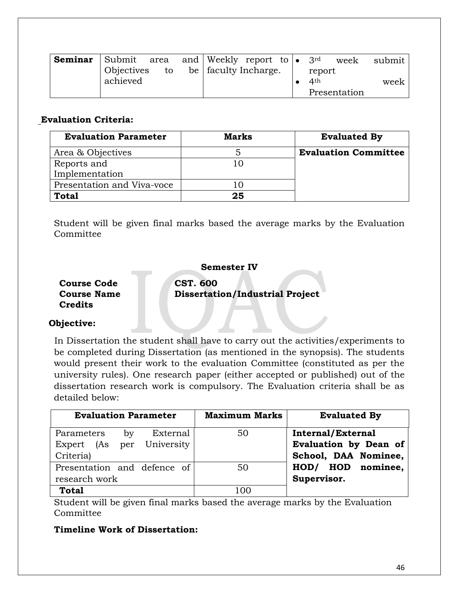| be   faculty Incharge.<br>Objectives<br>to<br>report | <b>Seminar</b> Submit area and Weekly report to $\bullet$ 3 <sup>rd</sup> |          |  |  |  |                 | week | submit |
|------------------------------------------------------|---------------------------------------------------------------------------|----------|--|--|--|-----------------|------|--------|
| Presentation                                         |                                                                           | achieved |  |  |  | 4 <sup>th</sup> |      | week   |

### **Evaluation Criteria:**

| <b>Evaluation Parameter</b> | <b>Marks</b> | <b>Evaluated By</b>         |
|-----------------------------|--------------|-----------------------------|
| Area & Objectives           |              | <b>Evaluation Committee</b> |
| Reports and                 |              |                             |
| Implementation              |              |                             |
| Presentation and Viva-voce  |              |                             |
| <b>Total</b>                | 25           |                             |

Student will be given final marks based the average marks by the Evaluation Committee

### **Semester IV**

**Course Code CST. 600 Credits**

**Course Name Dissertation/Industrial Project**

### **Objective:**

 In Dissertation the student shall have to carry out the activities/experiments to be completed during Dissertation (as mentioned in the synopsis). The students would present their work to the evaluation Committee (constituted as per the university rules). One research paper (either accepted or published) out of the dissertation research work is compulsory. The Evaluation criteria shall be as detailed below:

| <b>Evaluation Parameter</b>  | <b>Maximum Marks</b> | <b>Evaluated By</b>      |
|------------------------------|----------------------|--------------------------|
| External<br>Parameters<br>by | 50                   | <b>Internal/External</b> |
| Expert (As per University    |                      | Evaluation by Dean of    |
| Criteria)                    |                      | School, DAA Nominee,     |
| Presentation and defence of  | 50                   | HOD/ HOD<br>nominee,     |
| research work                |                      | Supervisor.              |
| <b>Total</b>                 | 100                  |                          |

Student will be given final marks based the average marks by the Evaluation Committee

### **Timeline Work of Dissertation:**